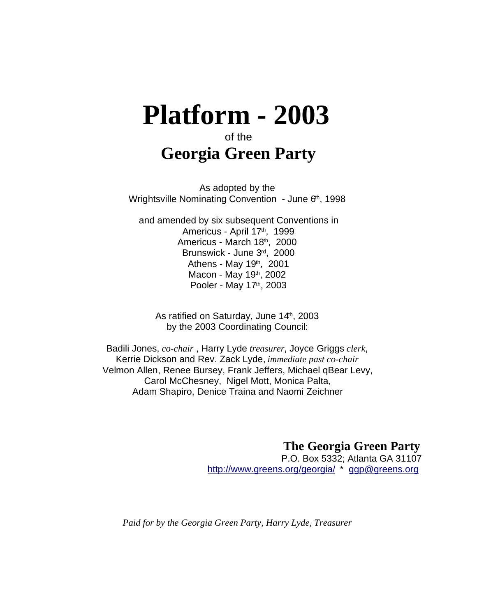# **Platform - 2003**

# of the **Georgia Green Party**

As adopted by the Wrightsville Nominating Convention - June 6<sup>th</sup>, 1998

and amended by six subsequent Conventions in Americus - April 17<sup>th</sup>, 1999 Americus - March 18th, 2000 Brunswick - June 3<sup>rd</sup>, 2000 Athens - May 19<sup>th</sup>, 2001 Macon - May 19<sup>th</sup>, 2002 Pooler - May 17<sup>th</sup>, 2003

As ratified on Saturday, June 14th, 2003 by the 2003 Coordinating Council:

Badili Jones, *co-chair* , Harry Lyde *treasurer*, Joyce Griggs *clerk*, Kerrie Dickson and Rev. Zack Lyde, *immediate past co-chair* Velmon Allen, Renee Bursey, Frank Jeffers, Michael qBear Levy, Carol McChesney, Nigel Mott, Monica Palta, Adam Shapiro, Denice Traina and Naomi Zeichner

> **The Georgia Green Party** P.O. Box 5332; Atlanta GA 31107 http://www.greens.org/georgia/ \* ggp@greens.org

*Paid for by the Georgia Green Party, Harry Lyde, Treasurer*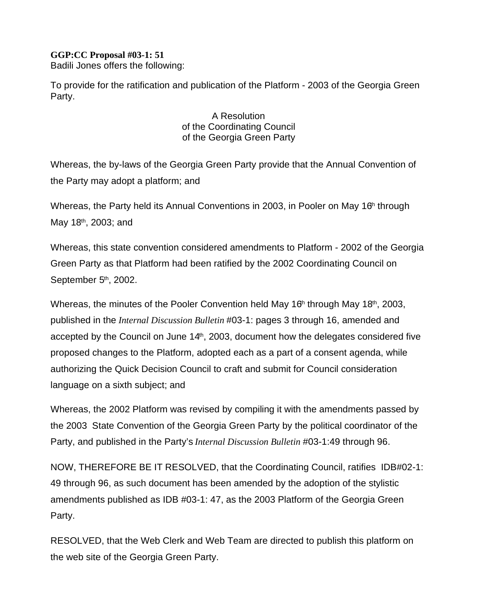**GGP:CC Proposal #03-1: 51**  Badili Jones offers the following:

To provide for the ratification and publication of the Platform - 2003 of the Georgia Green Party.

#### A Resolution of the Coordinating Council of the Georgia Green Party

Whereas, the by-laws of the Georgia Green Party provide that the Annual Convention of the Party may adopt a platform; and

Whereas, the Party held its Annual Conventions in 2003, in Pooler on May 16<sup>th</sup> through May 18<sup>th</sup>, 2003; and

Whereas, this state convention considered amendments to Platform - 2002 of the Georgia Green Party as that Platform had been ratified by the 2002 Coordinating Council on September 5<sup>th</sup>, 2002.

Whereas, the minutes of the Pooler Convention held May 16<sup>th</sup> through May 18<sup>th</sup>, 2003, published in the *Internal Discussion Bulletin* #03-1: pages 3 through 16, amended and accepted by the Council on June 14<sup>th</sup>, 2003, document how the delegates considered five proposed changes to the Platform, adopted each as a part of a consent agenda, while authorizing the Quick Decision Council to craft and submit for Council consideration language on a sixth subject; and

Whereas, the 2002 Platform was revised by compiling it with the amendments passed by the 2003 State Convention of the Georgia Green Party by the political coordinator of the Party, and published in the Party's *Internal Discussion Bulletin* #03-1:49 through 96.

NOW, THEREFORE BE IT RESOLVED, that the Coordinating Council, ratifies IDB#02-1: 49 through 96, as such document has been amended by the adoption of the stylistic amendments published as IDB #03-1: 47, as the 2003 Platform of the Georgia Green Party.

RESOLVED, that the Web Clerk and Web Team are directed to publish this platform on the web site of the Georgia Green Party.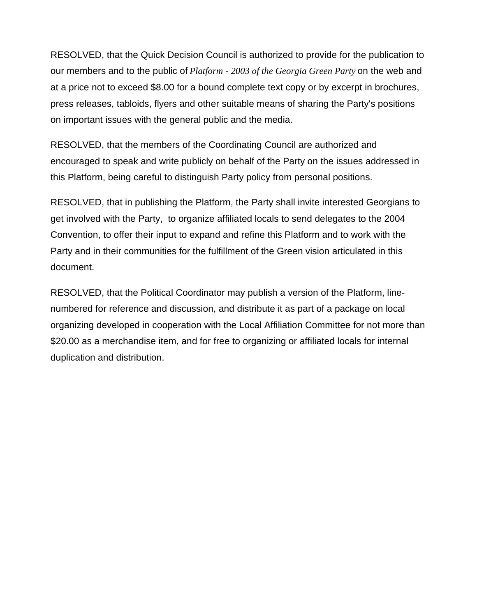RESOLVED, that the Quick Decision Council is authorized to provide for the publication to our members and to the public of *Platform - 2003 of the Georgia Green Party* on the web and at a price not to exceed \$8.00 for a bound complete text copy or by excerpt in brochures, press releases, tabloids, flyers and other suitable means of sharing the Party's positions on important issues with the general public and the media.

RESOLVED, that the members of the Coordinating Council are authorized and encouraged to speak and write publicly on behalf of the Party on the issues addressed in this Platform, being careful to distinguish Party policy from personal positions.

RESOLVED, that in publishing the Platform, the Party shall invite interested Georgians to get involved with the Party, to organize affiliated locals to send delegates to the 2004 Convention, to offer their input to expand and refine this Platform and to work with the Party and in their communities for the fulfillment of the Green vision articulated in this document.

RESOLVED, that the Political Coordinator may publish a version of the Platform, linenumbered for reference and discussion, and distribute it as part of a package on local organizing developed in cooperation with the Local Affiliation Committee for not more than \$20.00 as a merchandise item, and for free to organizing or affiliated locals for internal duplication and distribution.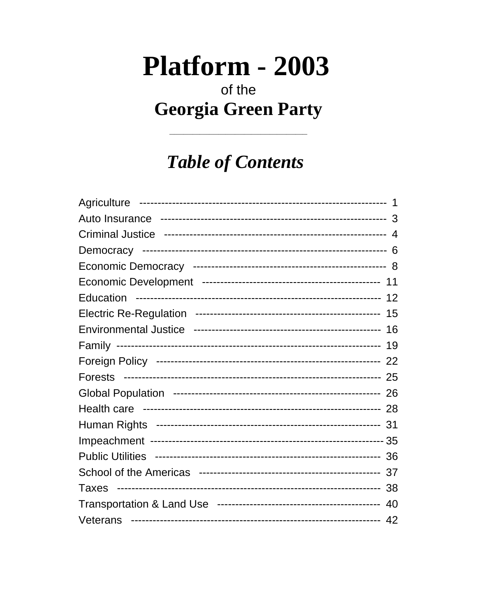# Platform - 2003

# of the **Georgia Green Party**

# **Table of Contents**

| <b>Forests</b>          |     |
|-------------------------|-----|
|                         |     |
|                         |     |
|                         |     |
|                         |     |
| <b>Public Utilities</b> |     |
|                         |     |
|                         | -38 |
|                         |     |
| Veterans                |     |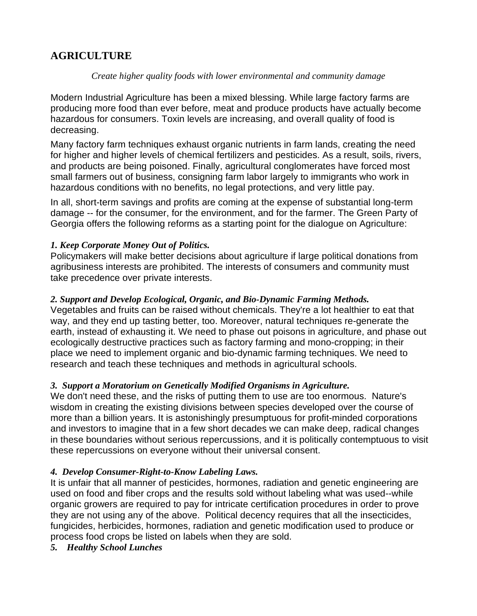# **AGRICULTURE**

#### *Create higher quality foods with lower environmental and community damage*

Modern Industrial Agriculture has been a mixed blessing. While large factory farms are producing more food than ever before, meat and produce products have actually become hazardous for consumers. Toxin levels are increasing, and overall quality of food is decreasing.

Many factory farm techniques exhaust organic nutrients in farm lands, creating the need for higher and higher levels of chemical fertilizers and pesticides. As a result, soils, rivers, and products are being poisoned. Finally, agricultural conglomerates have forced most small farmers out of business, consigning farm labor largely to immigrants who work in hazardous conditions with no benefits, no legal protections, and very little pay.

In all, short-term savings and profits are coming at the expense of substantial long-term damage -- for the consumer, for the environment, and for the farmer. The Green Party of Georgia offers the following reforms as a starting point for the dialogue on Agriculture:

#### *1. Keep Corporate Money Out of Politics.*

Policymakers will make better decisions about agriculture if large political donations from agribusiness interests are prohibited. The interests of consumers and community must take precedence over private interests.

#### *2. Support and Develop Ecological, Organic, and Bio-Dynamic Farming Methods.*

Vegetables and fruits can be raised without chemicals. They're a lot healthier to eat that way, and they end up tasting better, too. Moreover, natural techniques re-generate the earth, instead of exhausting it. We need to phase out poisons in agriculture, and phase out ecologically destructive practices such as factory farming and mono-cropping; in their place we need to implement organic and bio-dynamic farming techniques. We need to research and teach these techniques and methods in agricultural schools.

#### *3. Support a Moratorium on Genetically Modified Organisms in Agriculture.*

We don't need these, and the risks of putting them to use are too enormous. Nature's wisdom in creating the existing divisions between species developed over the course of more than a billion years. It is astonishingly presumptuous for profit-minded corporations and investors to imagine that in a few short decades we can make deep, radical changes in these boundaries without serious repercussions, and it is politically contemptuous to visit these repercussions on everyone without their universal consent.

#### *4. Develop Consumer-Right-to-Know Labeling Laws.*

It is unfair that all manner of pesticides, hormones, radiation and genetic engineering are used on food and fiber crops and the results sold without labeling what was used--while organic growers are required to pay for intricate certification procedures in order to prove they are not using any of the above. Political decency requires that all the insecticides, fungicides, herbicides, hormones, radiation and genetic modification used to produce or process food crops be listed on labels when they are sold.

*5. Healthy School Lunches*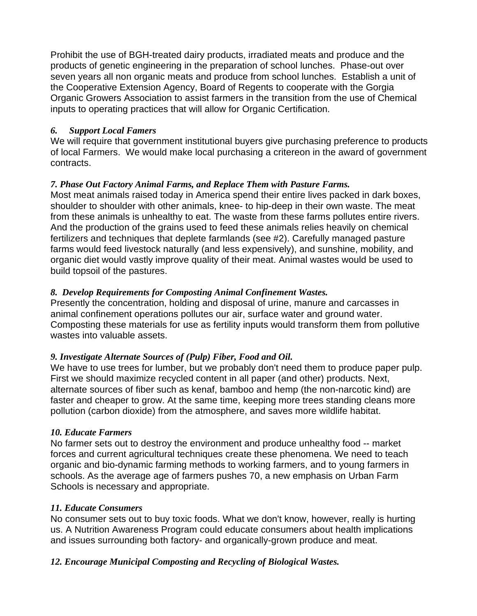Prohibit the use of BGH-treated dairy products, irradiated meats and produce and the products of genetic engineering in the preparation of school lunches. Phase-out over seven years all non organic meats and produce from school lunches. Establish a unit of the Cooperative Extension Agency, Board of Regents to cooperate with the Gorgia Organic Growers Association to assist farmers in the transition from the use of Chemical inputs to operating practices that will allow for Organic Certification.

#### *6. Support Local Famers*

We will require that government institutional buyers give purchasing preference to products of local Farmers. We would make local purchasing a critereon in the award of government contracts.

#### *7. Phase Out Factory Animal Farms, and Replace Them with Pasture Farms.*

Most meat animals raised today in America spend their entire lives packed in dark boxes, shoulder to shoulder with other animals, knee- to hip-deep in their own waste. The meat from these animals is unhealthy to eat. The waste from these farms pollutes entire rivers. And the production of the grains used to feed these animals relies heavily on chemical fertilizers and techniques that deplete farmlands (see #2). Carefully managed pasture farms would feed livestock naturally (and less expensively), and sunshine, mobility, and organic diet would vastly improve quality of their meat. Animal wastes would be used to build topsoil of the pastures.

#### *8. Develop Requirements for Composting Animal Confinement Wastes.*

Presently the concentration, holding and disposal of urine, manure and carcasses in animal confinement operations pollutes our air, surface water and ground water. Composting these materials for use as fertility inputs would transform them from pollutive wastes into valuable assets.

#### *9. Investigate Alternate Sources of (Pulp) Fiber, Food and Oil.*

We have to use trees for lumber, but we probably don't need them to produce paper pulp. First we should maximize recycled content in all paper (and other) products. Next, alternate sources of fiber such as kenaf, bamboo and hemp (the non-narcotic kind) are faster and cheaper to grow. At the same time, keeping more trees standing cleans more pollution (carbon dioxide) from the atmosphere, and saves more wildlife habitat.

#### *10. Educate Farmers*

No farmer sets out to destroy the environment and produce unhealthy food -- market forces and current agricultural techniques create these phenomena. We need to teach organic and bio-dynamic farming methods to working farmers, and to young farmers in schools. As the average age of farmers pushes 70, a new emphasis on Urban Farm Schools is necessary and appropriate.

#### *11. Educate Consumers*

No consumer sets out to buy toxic foods. What we don't know, however, really is hurting us. A Nutrition Awareness Program could educate consumers about health implications and issues surrounding both factory- and organically-grown produce and meat.

#### *12. Encourage Municipal Composting and Recycling of Biological Wastes.*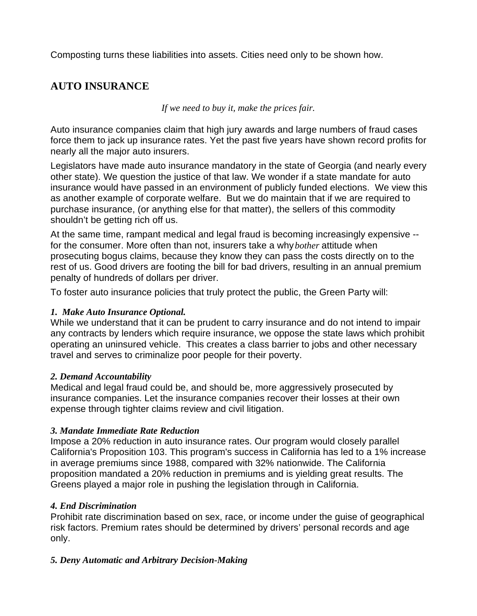Composting turns these liabilities into assets. Cities need only to be shown how.

# **AUTO INSURANCE**

*If we need to buy it, make the prices fair.*

Auto insurance companies claim that high jury awards and large numbers of fraud cases force them to jack up insurance rates. Yet the past five years have shown record profits for nearly all the major auto insurers.

Legislators have made auto insurance mandatory in the state of Georgia (and nearly every other state). We question the justice of that law. We wonder if a state mandate for auto insurance would have passed in an environment of publicly funded elections. We view this as another example of corporate welfare. But we do maintain that if we are required to purchase insurance, (or anything else for that matter), the sellers of this commodity shouldn't be getting rich off us.

At the same time, rampant medical and legal fraud is becoming increasingly expensive - for the consumer. More often than not, insurers take a why *bother* attitude when prosecuting bogus claims, because they know they can pass the costs directly on to the rest of us. Good drivers are footing the bill for bad drivers, resulting in an annual premium penalty of hundreds of dollars per driver.

To foster auto insurance policies that truly protect the public, the Green Party will:

#### *1. Make Auto Insurance Optional.*

While we understand that it can be prudent to carry insurance and do not intend to impair any contracts by lenders which require insurance, we oppose the state laws which prohibit operating an uninsured vehicle. This creates a class barrier to jobs and other necessary travel and serves to criminalize poor people for their poverty.

#### *2. Demand Accountability*

Medical and legal fraud could be, and should be, more aggressively prosecuted by insurance companies. Let the insurance companies recover their losses at their own expense through tighter claims review and civil litigation.

#### *3. Mandate Immediate Rate Reduction*

Impose a 20% reduction in auto insurance rates. Our program would closely parallel California's Proposition 103. This program's success in California has led to a 1% increase in average premiums since 1988, compared with 32% nationwide. The California proposition mandated a 20% reduction in premiums and is yielding great results. The Greens played a major role in pushing the legislation through in California.

#### *4. End Discrimination*

Prohibit rate discrimination based on sex, race, or income under the guise of geographical risk factors. Premium rates should be determined by drivers' personal records and age only.

#### *5. Deny Automatic and Arbitrary Decision-Making*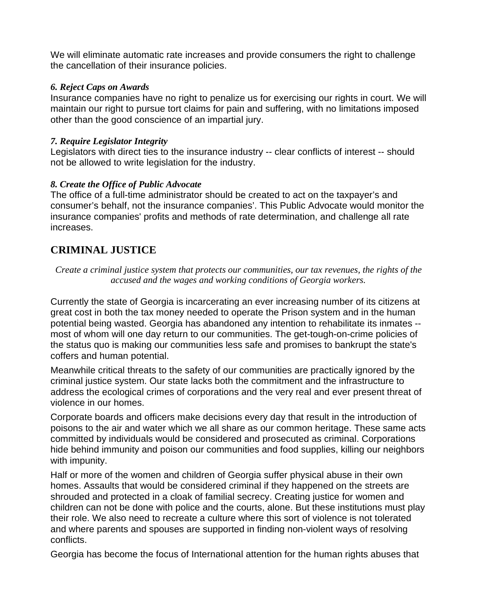We will eliminate automatic rate increases and provide consumers the right to challenge the cancellation of their insurance policies.

#### *6. Reject Caps on Awards*

Insurance companies have no right to penalize us for exercising our rights in court. We will maintain our right to pursue tort claims for pain and suffering, with no limitations imposed other than the good conscience of an impartial jury.

#### *7. Require Legislator Integrity*

Legislators with direct ties to the insurance industry -- clear conflicts of interest -- should not be allowed to write legislation for the industry.

#### *8. Create the Office of Public Advocate*

The office of a full-time administrator should be created to act on the taxpayer's and consumer's behalf, not the insurance companies'. This Public Advocate would monitor the insurance companies' profits and methods of rate determination, and challenge all rate increases.

# **CRIMINAL JUSTICE**

*Create a criminal justice system that protects our communities, our tax revenues, the rights of the accused and the wages and working conditions of Georgia workers.*

Currently the state of Georgia is incarcerating an ever increasing number of its citizens at great cost in both the tax money needed to operate the Prison system and in the human potential being wasted. Georgia has abandoned any intention to rehabilitate its inmates - most of whom will one day return to our communities. The get-tough-on-crime policies of the status quo is making our communities less safe and promises to bankrupt the state's coffers and human potential.

Meanwhile critical threats to the safety of our communities are practically ignored by the criminal justice system. Our state lacks both the commitment and the infrastructure to address the ecological crimes of corporations and the very real and ever present threat of violence in our homes.

Corporate boards and officers make decisions every day that result in the introduction of poisons to the air and water which we all share as our common heritage. These same acts committed by individuals would be considered and prosecuted as criminal. Corporations hide behind immunity and poison our communities and food supplies, killing our neighbors with impunity.

Half or more of the women and children of Georgia suffer physical abuse in their own homes. Assaults that would be considered criminal if they happened on the streets are shrouded and protected in a cloak of familial secrecy. Creating justice for women and children can not be done with police and the courts, alone. But these institutions must play their role. We also need to recreate a culture where this sort of violence is not tolerated and where parents and spouses are supported in finding non-violent ways of resolving conflicts.

Georgia has become the focus of International attention for the human rights abuses that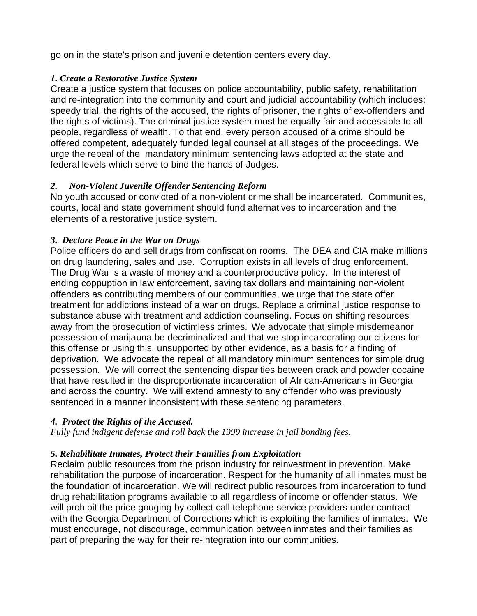go on in the state's prison and juvenile detention centers every day.

#### *1. Create a Restorative Justice System*

Create a justice system that focuses on police accountability, public safety, rehabilitation and re-integration into the community and court and judicial accountability (which includes: speedy trial, the rights of the accused, the rights of prisoner, the rights of ex-offenders and the rights of victims). The criminal justice system must be equally fair and accessible to all people, regardless of wealth. To that end, every person accused of a crime should be offered competent, adequately funded legal counsel at all stages of the proceedings. We urge the repeal of the mandatory minimum sentencing laws adopted at the state and federal levels which serve to bind the hands of Judges.

#### *2. Non-Violent Juvenile Offender Sentencing Reform*

No youth accused or convicted of a non-violent crime shall be incarcerated. Communities, courts, local and state government should fund alternatives to incarceration and the elements of a restorative justice system.

#### *3. Declare Peace in the War on Drugs*

Police officers do and sell drugs from confiscation rooms. The DEA and CIA make millions on drug laundering, sales and use. Corruption exists in all levels of drug enforcement. The Drug War is a waste of money and a counterproductive policy. In the interest of ending coppuption in law enforcement, saving tax dollars and maintaining non-violent offenders as contributing members of our communities, we urge that the state offer treatment for addictions instead of a war on drugs. Replace a criminal justice response to substance abuse with treatment and addiction counseling. Focus on shifting resources away from the prosecution of victimless crimes. We advocate that simple misdemeanor possession of marijauna be decriminalized and that we stop incarcerating our citizens for this offense or using this, unsupported by other evidence, as a basis for a finding of deprivation. We advocate the repeal of all mandatory minimum sentences for simple drug possession. We will correct the sentencing disparities between crack and powder cocaine that have resulted in the disproportionate incarceration of African-Americans in Georgia and across the country. We will extend amnesty to any offender who was previously sentenced in a manner inconsistent with these sentencing parameters.

#### *4. Protect the Rights of the Accused.*

*Fully fund indigent defense and roll back the 1999 increase in jail bonding fees.* 

#### *5. Rehabilitate Inmates, Protect their Families from Exploitation*

Reclaim public resources from the prison industry for reinvestment in prevention. Make rehabilitation the purpose of incarceration. Respect for the humanity of all inmates must be the foundation of incarceration. We will redirect public resources from incarceration to fund drug rehabilitation programs available to all regardless of income or offender status. We will prohibit the price gouging by collect call telephone service providers under contract with the Georgia Department of Corrections which is exploiting the families of inmates. We must encourage, not discourage, communication between inmates and their families as part of preparing the way for their re-integration into our communities.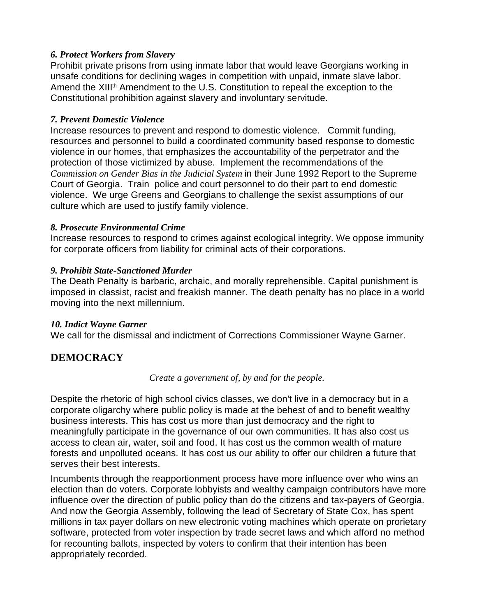#### *6. Protect Workers from Slavery*

Prohibit private prisons from using inmate labor that would leave Georgians working in unsafe conditions for declining wages in competition with unpaid, inmate slave labor. Amend the XIII<sup>th</sup> Amendment to the U.S. Constitution to repeal the exception to the Constitutional prohibition against slavery and involuntary servitude.

#### *7. Prevent Domestic Violence*

Increase resources to prevent and respond to domestic violence. Commit funding, resources and personnel to build a coordinated community based response to domestic violence in our homes, that emphasizes the accountability of the perpetrator and the protection of those victimized by abuse. Implement the recommendations of the *Commission on Gender Bias in the Judicial System* in their June 1992 Report to the Supreme Court of Georgia. Train police and court personnel to do their part to end domestic violence. We urge Greens and Georgians to challenge the sexist assumptions of our culture which are used to justify family violence.

#### *8. Prosecute Environmental Crime*

Increase resources to respond to crimes against ecological integrity. We oppose immunity for corporate officers from liability for criminal acts of their corporations.

#### *9. Prohibit State-Sanctioned Murder*

The Death Penalty is barbaric, archaic, and morally reprehensible. Capital punishment is imposed in classist, racist and freakish manner. The death penalty has no place in a world moving into the next millennium.

#### *10. Indict Wayne Garner*

We call for the dismissal and indictment of Corrections Commissioner Wayne Garner.

# **DEMOCRACY**

#### *Create a government of, by and for the people.*

Despite the rhetoric of high school civics classes, we don't live in a democracy but in a corporate oligarchy where public policy is made at the behest of and to benefit wealthy business interests. This has cost us more than just democracy and the right to meaningfully participate in the governance of our own communities. It has also cost us access to clean air, water, soil and food. It has cost us the common wealth of mature forests and unpolluted oceans. It has cost us our ability to offer our children a future that serves their best interests.

Incumbents through the reapportionment process have more influence over who wins an election than do voters. Corporate lobbyists and wealthy campaign contributors have more influence over the direction of public policy than do the citizens and tax-payers of Georgia. And now the Georgia Assembly, following the lead of Secretary of State Cox, has spent millions in tax payer dollars on new electronic voting machines which operate on prorietary software, protected from voter inspection by trade secret laws and which afford no method for recounting ballots, inspected by voters to confirm that their intention has been appropriately recorded.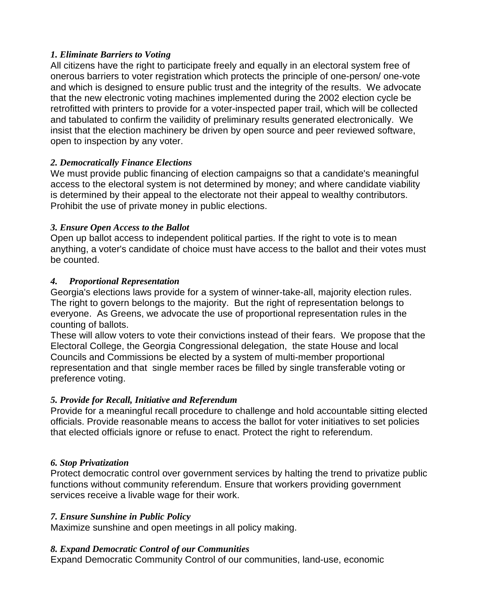#### *1. Eliminate Barriers to Voting*

All citizens have the right to participate freely and equally in an electoral system free of onerous barriers to voter registration which protects the principle of one-person/ one-vote and which is designed to ensure public trust and the integrity of the results. We advocate that the new electronic voting machines implemented during the 2002 election cycle be retrofitted with printers to provide for a voter-inspected paper trail, which will be collected and tabulated to confirm the vailidity of preliminary results generated electronically. We insist that the election machinery be driven by open source and peer reviewed software, open to inspection by any voter.

# *2. Democratically Finance Elections*

We must provide public financing of election campaigns so that a candidate's meaningful access to the electoral system is not determined by money; and where candidate viability is determined by their appeal to the electorate not their appeal to wealthy contributors. Prohibit the use of private money in public elections.

#### *3. Ensure Open Access to the Ballot*

Open up ballot access to independent political parties. If the right to vote is to mean anything, a voter's candidate of choice must have access to the ballot and their votes must be counted.

#### *4. Proportional Representation*

Georgia's elections laws provide for a system of winner-take-all, majority election rules. The right to govern belongs to the majority. But the right of representation belongs to everyone. As Greens, we advocate the use of proportional representation rules in the counting of ballots.

These will allow voters to vote their convictions instead of their fears. We propose that the Electoral College, the Georgia Congressional delegation, the state House and local Councils and Commissions be elected by a system of multi-member proportional representation and that single member races be filled by single transferable voting or preference voting.

#### *5. Provide for Recall, Initiative and Referendum*

Provide for a meaningful recall procedure to challenge and hold accountable sitting elected officials. Provide reasonable means to access the ballot for voter initiatives to set policies that elected officials ignore or refuse to enact. Protect the right to referendum.

#### *6. Stop Privatization*

Protect democratic control over government services by halting the trend to privatize public functions without community referendum. Ensure that workers providing government services receive a livable wage for their work.

#### *7. Ensure Sunshine in Public Policy*

Maximize sunshine and open meetings in all policy making.

#### *8. Expand Democratic Control of our Communities*

Expand Democratic Community Control of our communities, land-use, economic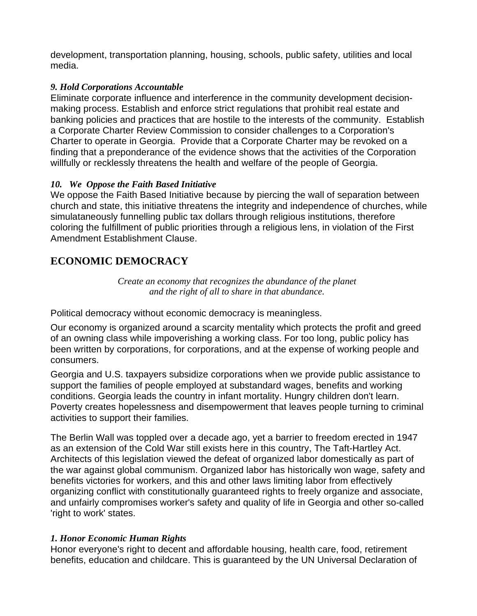development, transportation planning, housing, schools, public safety, utilities and local media.

#### *9. Hold Corporations Accountable*

Eliminate corporate influence and interference in the community development decisionmaking process. Establish and enforce strict regulations that prohibit real estate and banking policies and practices that are hostile to the interests of the community. Establish a Corporate Charter Review Commission to consider challenges to a Corporation's Charter to operate in Georgia. Provide that a Corporate Charter may be revoked on a finding that a preponderance of the evidence shows that the activities of the Corporation willfully or recklessly threatens the health and welfare of the people of Georgia.

#### *10. We Oppose the Faith Based Initiative*

We oppose the Faith Based Initiative because by piercing the wall of separation between church and state, this initiative threatens the integrity and independence of churches, while simulataneously funnelling public tax dollars through religious institutions, therefore coloring the fulfillment of public priorities through a religious lens, in violation of the First Amendment Establishment Clause.

# **ECONOMIC DEMOCRACY**

*Create an economy that recognizes the abundance of the planet and the right of all to share in that abundance.* 

Political democracy without economic democracy is meaningless.

Our economy is organized around a scarcity mentality which protects the profit and greed of an owning class while impoverishing a working class. For too long, public policy has been written by corporations, for corporations, and at the expense of working people and consumers.

Georgia and U.S. taxpayers subsidize corporations when we provide public assistance to support the families of people employed at substandard wages, benefits and working conditions. Georgia leads the country in infant mortality. Hungry children don't learn. Poverty creates hopelessness and disempowerment that leaves people turning to criminal activities to support their families.

The Berlin Wall was toppled over a decade ago, yet a barrier to freedom erected in 1947 as an extension of the Cold War still exists here in this country, The Taft-Hartley Act. Architects of this legislation viewed the defeat of organized labor domestically as part of the war against global communism. Organized labor has historically won wage, safety and benefits victories for workers, and this and other laws limiting labor from effectively organizing conflict with constitutionally guaranteed rights to freely organize and associate, and unfairly compromises worker's safety and quality of life in Georgia and other so-called 'right to work' states.

#### *1. Honor Economic Human Rights*

Honor everyone's right to decent and affordable housing, health care, food, retirement benefits, education and childcare. This is guaranteed by the UN Universal Declaration of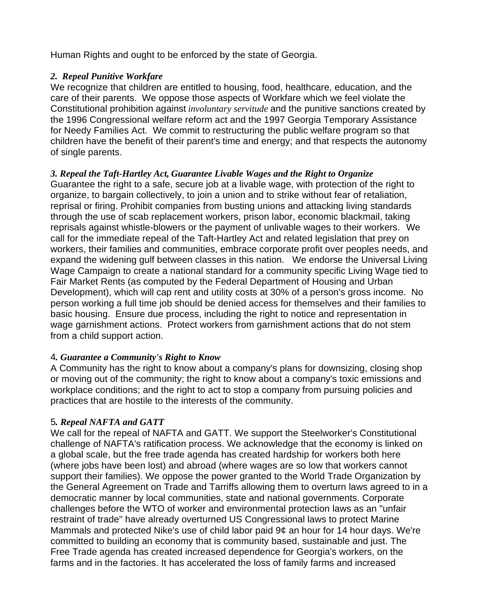Human Rights and ought to be enforced by the state of Georgia.

#### *2. Repeal Punitive Workfare*

We recognize that children are entitled to housing, food, healthcare, education, and the care of their parents. We oppose those aspects of Workfare which we feel violate the Constitutional prohibition against *involuntary servitude* and the punitive sanctions created by the 1996 Congressional welfare reform act and the 1997 Georgia Temporary Assistance for Needy Families Act. We commit to restructuring the public welfare program so that children have the benefit of their parent's time and energy; and that respects the autonomy of single parents.

#### *3. Repeal the Taft-Hartley Act, Guarantee Livable Wages and the Right to Organize*

Guarantee the right to a safe, secure job at a livable wage, with protection of the right to organize, to bargain collectively, to join a union and to strike without fear of retaliation, reprisal or firing. Prohibit companies from busting unions and attacking living standards through the use of scab replacement workers, prison labor, economic blackmail, taking reprisals against whistle-blowers or the payment of unlivable wages to their workers. We call for the immediate repeal of the Taft-Hartley Act and related legislation that prey on workers, their families and communities, embrace corporate profit over peoples needs, and expand the widening gulf between classes in this nation. We endorse the Universal Living Wage Campaign to create a national standard for a community specific Living Wage tied to Fair Market Rents (as computed by the Federal Department of Housing and Urban Development), which will cap rent and utility costs at 30% of a person's gross income. No person working a full time job should be denied access for themselves and their families to basic housing. Ensure due process, including the right to notice and representation in wage garnishment actions. Protect workers from garnishment actions that do not stem from a child support action.

#### 4*. Guarantee a Community's Right to Know*

A Community has the right to know about a company's plans for downsizing, closing shop or moving out of the community; the right to know about a company's toxic emissions and workplace conditions; and the right to act to stop a company from pursuing policies and practices that are hostile to the interests of the community.

#### 5*. Repeal NAFTA and GATT*

We call for the repeal of NAFTA and GATT. We support the Steelworker's Constitutional challenge of NAFTA's ratification process. We acknowledge that the economy is linked on a global scale, but the free trade agenda has created hardship for workers both here (where jobs have been lost) and abroad (where wages are so low that workers cannot support their families). We oppose the power granted to the World Trade Organization by the General Agreement on Trade and Tarriffs allowing them to overturn laws agreed to in a democratic manner by local communities, state and national governments. Corporate challenges before the WTO of worker and environmental protection laws as an "unfair restraint of trade" have already overturned US Congressional laws to protect Marine Mammals and protected Nike's use of child labor paid 9¢ an hour for 14 hour days. We're committed to building an economy that is community based, sustainable and just. The Free Trade agenda has created increased dependence for Georgia's workers, on the farms and in the factories. It has accelerated the loss of family farms and increased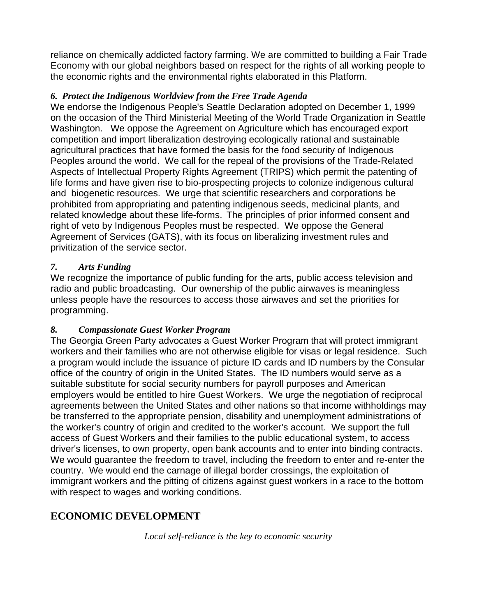reliance on chemically addicted factory farming. We are committed to building a Fair Trade Economy with our global neighbors based on respect for the rights of all working people to the economic rights and the environmental rights elaborated in this Platform.

#### *6. Protect the Indigenous Worldview from the Free Trade Agenda*

We endorse the Indigenous People's Seattle Declaration adopted on December 1, 1999 on the occasion of the Third Ministerial Meeting of the World Trade Organization in Seattle Washington. We oppose the Agreement on Agriculture which has encouraged export competition and import liberalization destroying ecologically rational and sustainable agricultural practices that have formed the basis for the food security of Indigenous Peoples around the world. We call for the repeal of the provisions of the Trade-Related Aspects of Intellectual Property Rights Agreement (TRIPS) which permit the patenting of life forms and have given rise to bio-prospecting projects to colonize indigenous cultural and biogenetic resources. We urge that scientific researchers and corporations be prohibited from appropriating and patenting indigenous seeds, medicinal plants, and related knowledge about these life-forms. The principles of prior informed consent and right of veto by Indigenous Peoples must be respected. We oppose the General Agreement of Services (GATS), with its focus on liberalizing investment rules and privitization of the service sector.

#### *7. Arts Funding*

We recognize the importance of public funding for the arts, public access television and radio and public broadcasting. Our ownership of the public airwaves is meaningless unless people have the resources to access those airwaves and set the priorities for programming.

#### *8. Compassionate Guest Worker Program*

The Georgia Green Party advocates a Guest Worker Program that will protect immigrant workers and their families who are not otherwise eligible for visas or legal residence. Such a program would include the issuance of picture ID cards and ID numbers by the Consular office of the country of origin in the United States. The ID numbers would serve as a suitable substitute for social security numbers for payroll purposes and American employers would be entitled to hire Guest Workers. We urge the negotiation of reciprocal agreements between the United States and other nations so that income withholdings may be transferred to the appropriate pension, disability and unemployment administrations of the worker's country of origin and credited to the worker's account. We support the full access of Guest Workers and their families to the public educational system, to access driver's licenses, to own property, open bank accounts and to enter into binding contracts. We would guarantee the freedom to travel, including the freedom to enter and re-enter the country. We would end the carnage of illegal border crossings, the exploitation of immigrant workers and the pitting of citizens against guest workers in a race to the bottom with respect to wages and working conditions.

# **ECONOMIC DEVELOPMENT**

*Local self-reliance is the key to economic security*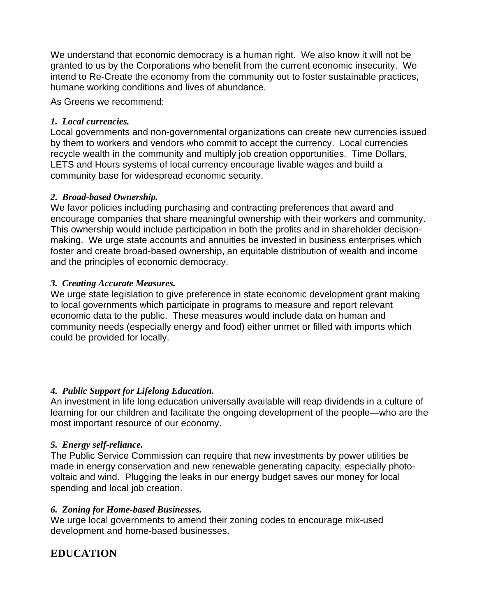We understand that economic democracy is a human right. We also know it will not be granted to us by the Corporations who benefit from the current economic insecurity. We intend to Re-Create the economy from the community out to foster sustainable practices, humane working conditions and lives of abundance.

As Greens we recommend:

#### *1. Local currencies.*

Local governments and non-governmental organizations can create new currencies issued by them to workers and vendors who commit to accept the currency. Local currencies recycle wealth in the community and multiply job creation opportunities. Time Dollars, LETS and Hours systems of local currency encourage livable wages and build a community base for widespread economic security.

#### *2. Broad-based Ownership.*

We favor policies including purchasing and contracting preferences that award and encourage companies that share meaningful ownership with their workers and community. This ownership would include participation in both the profits and in shareholder decisionmaking. We urge state accounts and annuities be invested in business enterprises which foster and create broad-based ownership, an equitable distribution of wealth and income and the principles of economic democracy.

#### *3. Creating Accurate Measures.*

We urge state legislation to give preference in state economic development grant making to local governments which participate in programs to measure and report relevant economic data to the public. These measures would include data on human and community needs (especially energy and food) either unmet or filled with imports which could be provided for locally.

#### *4. Public Support for Lifelong Education.*

An investment in life long education universally available will reap dividends in a culture of learning for our children and facilitate the ongoing development of the people—who are the most important resource of our economy.

#### *5. Energy self-reliance.*

The Public Service Commission can require that new investments by power utilities be made in energy conservation and new renewable generating capacity, especially photovoltaic and wind. Plugging the leaks in our energy budget saves our money for local spending and local job creation.

#### *6. Zoning for Home-based Businesses.*

We urge local governments to amend their zoning codes to encourage mix-used development and home-based businesses.

# **EDUCATION**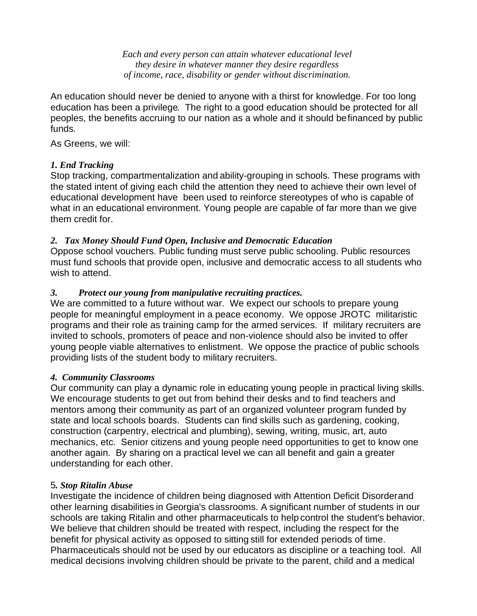*Each and every person can attain whatever educational level they desire in whatever manner they desire regardless of income, race, disability or gender without discrimination.* 

An education should never be denied to anyone with a thirst for knowledge. For too long education has been a privilege. The right to a good education should be protected for all peoples, the benefits accruing to our nation as a whole and it should befinanced by public funds.

As Greens, we will:

#### *1. End Tracking*

Stop tracking, compartmentalization and ability-grouping in schools. These programs with the stated intent of giving each child the attention they need to achieve their own level of educational development have been used to reinforce stereotypes of who is capable of what in an educational environment. Young people are capable of far more than we give them credit for.

#### *2. Tax Money Should Fund Open, Inclusive and Democratic Education*

Oppose school vouchers. Public funding must serve public schooling. Public resources must fund schools that provide open, inclusive and democratic access to all students who wish to attend.

#### *3. Protect our young from manipulative recruiting practices.*

We are committed to a future without war. We expect our schools to prepare young people for meaningful employment in a peace economy. We oppose JROTC militaristic programs and their role as training camp for the armed services. If military recruiters are invited to schools, promoters of peace and non-violence should also be invited to offer young people viable alternatives to enlistment. We oppose the practice of public schools providing lists of the student body to military recruiters.

#### *4. Community Classrooms*

Our community can play a dynamic role in educating young people in practical living skills. We encourage students to get out from behind their desks and to find teachers and mentors among their community as part of an organized volunteer program funded by state and local schools boards. Students can find skills such as gardening, cooking, construction (carpentry, electrical and plumbing), sewing, writing, music, art, auto mechanics, etc. Senior citizens and young people need opportunities to get to know one another again. By sharing on a practical level we can all benefit and gain a greater understanding for each other.

#### 5*. Stop Ritalin Abuse*

Investigate the incidence of children being diagnosed with Attention Deficit Disorderand other learning disabilities in Georgia's classrooms. A significant number of students in our schools are taking Ritalin and other pharmaceuticals to help control the student's behavior. We believe that children should be treated with respect, including the respect for the benefit for physical activity as opposed to sitting still for extended periods of time. Pharmaceuticals should not be used by our educators as discipline or a teaching tool. All medical decisions involving children should be private to the parent, child and a medical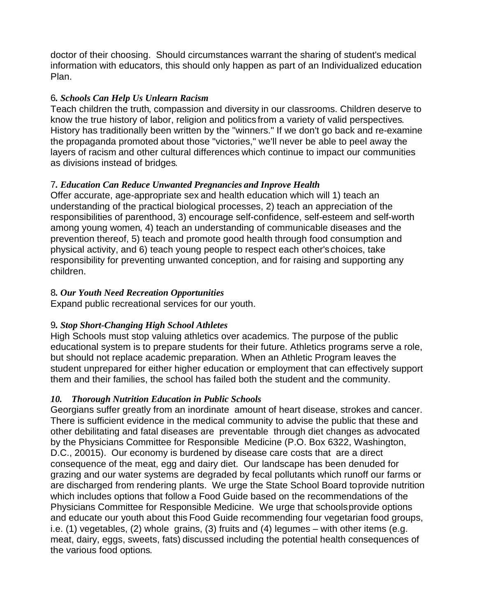doctor of their choosing. Should circumstances warrant the sharing of student's medical information with educators, this should only happen as part of an Individualized education Plan.

#### 6*. Schools Can Help Us Unlearn Racism*

Teach children the truth, compassion and diversity in our classrooms. Children deserve to know the true history of labor, religion and politics from a variety of valid perspectives. History has traditionally been written by the "winners." If we don't go back and re-examine the propaganda promoted about those "victories," we'll never be able to peel away the layers of racism and other cultural differences which continue to impact our communities as divisions instead of bridges.

#### 7*. Education Can Reduce Unwanted Pregnancies and Inprove Health*

Offer accurate, age-appropriate sex and health education which will 1) teach an understanding of the practical biological processes, 2) teach an appreciation of the responsibilities of parenthood, 3) encourage self-confidence, self-esteem and self-worth among young women, 4) teach an understanding of communicable diseases and the prevention thereof, 5) teach and promote good health through food consumption and physical activity, and 6) teach young people to respect each other'schoices, take responsibility for preventing unwanted conception, and for raising and supporting any children.

# 8*. Our Youth Need Recreation Opportunities*

Expand public recreational services for our youth.

# 9*. Stop Short-Changing High School Athletes*

High Schools must stop valuing athletics over academics. The purpose of the public educational system is to prepare students for their future. Athletics programs serve a role, but should not replace academic preparation. When an Athletic Program leaves the student unprepared for either higher education or employment that can effectively support them and their families, the school has failed both the student and the community.

# *10. Thorough Nutrition Education in Public Schools*

Georgians suffer greatly from an inordinate amount of heart disease, strokes and cancer. There is sufficient evidence in the medical community to advise the public that these and other debilitating and fatal diseases are preventable through diet changes as advocated by the Physicians Committee for Responsible Medicine (P.O. Box 6322, Washington, D.C., 20015). Our economy is burdened by disease care costs that are a direct consequence of the meat, egg and dairy diet. Our landscape has been denuded for grazing and our water systems are degraded by fecal pollutants which runoff our farms or are discharged from rendering plants. We urge the State School Board toprovide nutrition which includes options that follow a Food Guide based on the recommendations of the Physicians Committee for Responsible Medicine. We urge that schools provide options and educate our youth about this Food Guide recommending four vegetarian food groups, i.e. (1) vegetables, (2) whole grains, (3) fruits and (4) legumes – with other items (e.g. meat, dairy, eggs, sweets, fats) discussed including the potential health consequences of the various food options.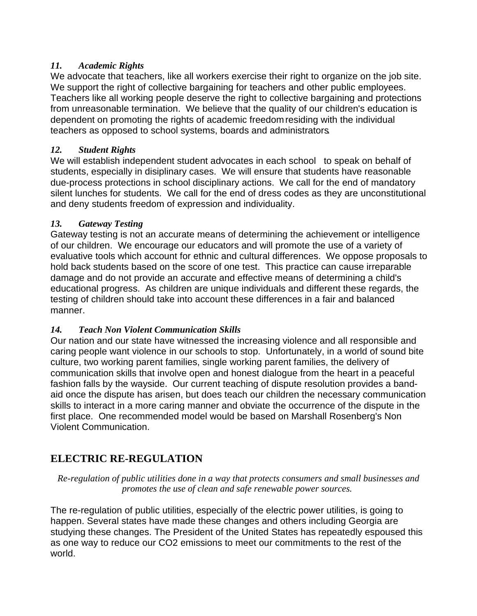#### *11. Academic Rights*

We advocate that teachers, like all workers exercise their right to organize on the job site. We support the right of collective bargaining for teachers and other public employees. Teachers like all working people deserve the right to collective bargaining and protections from unreasonable termination. We believe that the quality of our children's education is dependent on promoting the rights of academic freedomresiding with the individual teachers as opposed to school systems, boards and administrators.

# *12. Student Rights*

We will establish independent student advocates in each school to speak on behalf of students, especially in disiplinary cases. We will ensure that students have reasonable due-process protections in school disciplinary actions. We call for the end of mandatory silent lunches for students. We call for the end of dress codes as they are unconstitutional and deny students freedom of expression and individuality.

# *13. Gateway Testing*

Gateway testing is not an accurate means of determining the achievement or intelligence of our children. We encourage our educators and will promote the use of a variety of evaluative tools which account for ethnic and cultural differences. We oppose proposals to hold back students based on the score of one test. This practice can cause irreparable damage and do not provide an accurate and effective means of determining a child's educational progress. As children are unique individuals and different these regards, the testing of children should take into account these differences in a fair and balanced manner.

# *14. Teach Non Violent Communication Skills*

Our nation and our state have witnessed the increasing violence and all responsible and caring people want violence in our schools to stop. Unfortunately, in a world of sound bite culture, two working parent families, single working parent families, the delivery of communication skills that involve open and honest dialogue from the heart in a peaceful fashion falls by the wayside. Our current teaching of dispute resolution provides a bandaid once the dispute has arisen, but does teach our children the necessary communication skills to interact in a more caring manner and obviate the occurrence of the dispute in the first place. One recommended model would be based on Marshall Rosenberg's Non Violent Communication.

# **ELECTRIC RE-REGULATION**

*Re-regulation of public utilities done in a way that protects consumers and small businesses and promotes the use of clean and safe renewable power sources.* 

The re-regulation of public utilities, especially of the electric power utilities, is going to happen. Several states have made these changes and others including Georgia are studying these changes. The President of the United States has repeatedly espoused this as one way to reduce our CO2 emissions to meet our commitments to the rest of the world.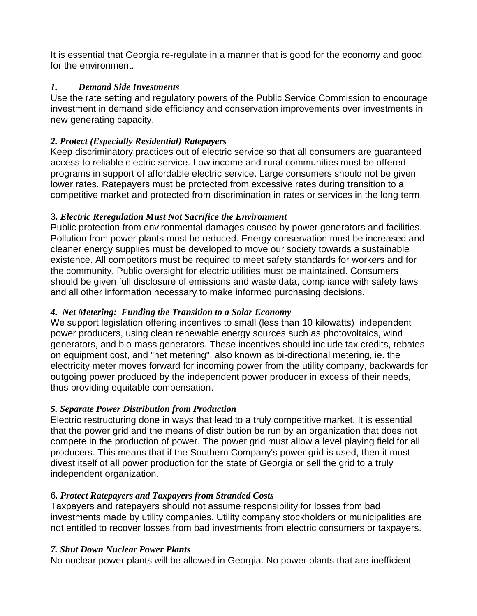It is essential that Georgia re-regulate in a manner that is good for the economy and good for the environment.

#### *1. Demand Side Investments*

Use the rate setting and regulatory powers of the Public Service Commission to encourage investment in demand side efficiency and conservation improvements over investments in new generating capacity.

#### *2. Protect (Especially Residential) Ratepayers*

Keep discriminatory practices out of electric service so that all consumers are guaranteed access to reliable electric service. Low income and rural communities must be offered programs in support of affordable electric service. Large consumers should not be given lower rates. Ratepayers must be protected from excessive rates during transition to a competitive market and protected from discrimination in rates or services in the long term.

#### 3*. Electric Reregulation Must Not Sacrifice the Environment*

Public protection from environmental damages caused by power generators and facilities. Pollution from power plants must be reduced. Energy conservation must be increased and cleaner energy supplies must be developed to move our society towards a sustainable existence. All competitors must be required to meet safety standards for workers and for the community. Public oversight for electric utilities must be maintained. Consumers should be given full disclosure of emissions and waste data, compliance with safety laws and all other information necessary to make informed purchasing decisions.

#### *4. Net Metering: Funding the Transition to a Solar Economy*

We support legislation offering incentives to small (less than 10 kilowatts) independent power producers, using clean renewable energy sources such as photovoltaics, wind generators, and bio-mass generators. These incentives should include tax credits, rebates on equipment cost, and "net metering", also known as bi-directional metering, ie. the electricity meter moves forward for incoming power from the utility company, backwards for outgoing power produced by the independent power producer in excess of their needs, thus providing equitable compensation.

#### *5. Separate Power Distribution from Production*

Electric restructuring done in ways that lead to a truly competitive market. It is essential that the power grid and the means of distribution be run by an organization that does not compete in the production of power. The power grid must allow a level playing field for all producers. This means that if the Southern Company's power grid is used, then it must divest itself of all power production for the state of Georgia or sell the grid to a truly independent organization.

#### 6*. Protect Ratepayers and Taxpayers from Stranded Costs*

Taxpayers and ratepayers should not assume responsibility for losses from bad investments made by utility companies. Utility company stockholders or municipalities are not entitled to recover losses from bad investments from electric consumers or taxpayers.

#### *7. Shut Down Nuclear Power Plants*

No nuclear power plants will be allowed in Georgia. No power plants that are inefficient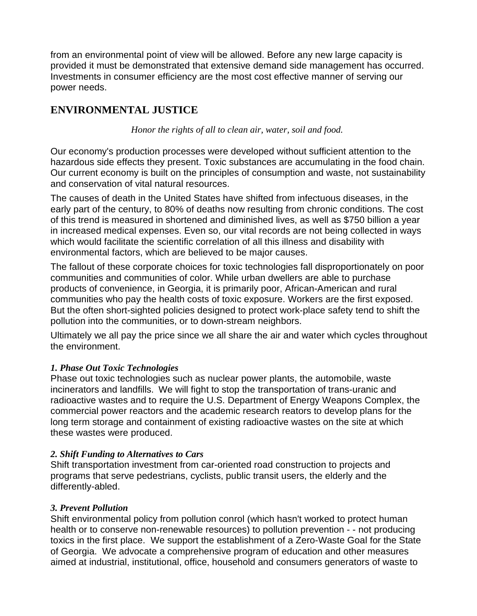from an environmental point of view will be allowed. Before any new large capacity is provided it must be demonstrated that extensive demand side management has occurred. Investments in consumer efficiency are the most cost effective manner of serving our power needs.

# **ENVIRONMENTAL JUSTICE**

*Honor the rights of all to clean air, water, soil and food.* 

Our economy's production processes were developed without sufficient attention to the hazardous side effects they present. Toxic substances are accumulating in the food chain. Our current economy is built on the principles of consumption and waste, not sustainability and conservation of vital natural resources.

The causes of death in the United States have shifted from infectuous diseases, in the early part of the century, to 80% of deaths now resulting from chronic conditions. The cost of this trend is measured in shortened and diminished lives, as well as \$750 billion a year in increased medical expenses. Even so, our vital records are not being collected in ways which would facilitate the scientific correlation of all this illness and disability with environmental factors, which are believed to be major causes.

The fallout of these corporate choices for toxic technologies fall disproportionately on poor communities and communities of color. While urban dwellers are able to purchase products of convenience, in Georgia, it is primarily poor, African-American and rural communities who pay the health costs of toxic exposure. Workers are the first exposed. But the often short-sighted policies designed to protect work-place safety tend to shift the pollution into the communities, or to down-stream neighbors.

Ultimately we all pay the price since we all share the air and water which cycles throughout the environment.

#### *1. Phase Out Toxic Technologies*

Phase out toxic technologies such as nuclear power plants, the automobile, waste incinerators and landfills. We will fight to stop the transportation of trans-uranic and radioactive wastes and to require the U.S. Department of Energy Weapons Complex, the commercial power reactors and the academic research reators to develop plans for the long term storage and containment of existing radioactive wastes on the site at which these wastes were produced.

#### *2. Shift Funding to Alternatives to Cars*

Shift transportation investment from car-oriented road construction to projects and programs that serve pedestrians, cyclists, public transit users, the elderly and the differently-abled.

#### *3. Prevent Pollution*

Shift environmental policy from pollution conrol (which hasn't worked to protect human health or to conserve non-renewable resources) to pollution prevention - - not producing toxics in the first place. We support the establishment of a Zero-Waste Goal for the State of Georgia. We advocate a comprehensive program of education and other measures aimed at industrial, institutional, office, household and consumers generators of waste to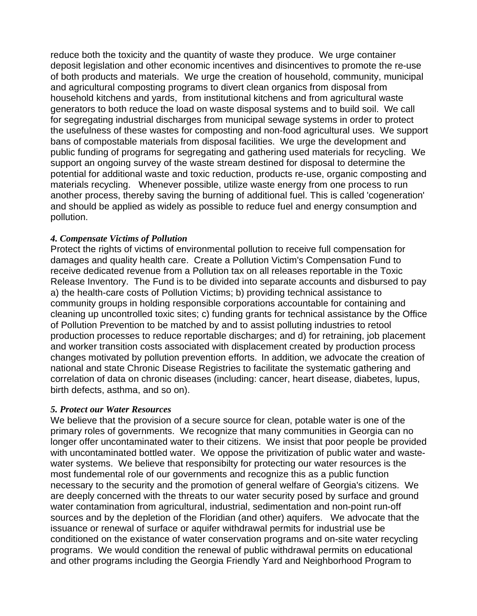reduce both the toxicity and the quantity of waste they produce. We urge container deposit legislation and other economic incentives and disincentives to promote the re-use of both products and materials. We urge the creation of household, community, municipal and agricultural composting programs to divert clean organics from disposal from household kitchens and yards, from institutional kitchens and from agricultural waste generators to both reduce the load on waste disposal systems and to build soil. We call for segregating industrial discharges from municipal sewage systems in order to protect the usefulness of these wastes for composting and non-food agricultural uses. We support bans of compostable materials from disposal facilities. We urge the development and public funding of programs for segregating and gathering used materials for recycling. We support an ongoing survey of the waste stream destined for disposal to determine the potential for additional waste and toxic reduction, products re-use, organic composting and materials recycling. Whenever possible, utilize waste energy from one process to run another process, thereby saving the burning of additional fuel. This is called 'cogeneration' and should be applied as widely as possible to reduce fuel and energy consumption and pollution.

#### *4. Compensate Victims of Pollution*

Protect the rights of victims of environmental pollution to receive full compensation for damages and quality health care. Create a Pollution Victim's Compensation Fund to receive dedicated revenue from a Pollution tax on all releases reportable in the Toxic Release Inventory. The Fund is to be divided into separate accounts and disbursed to pay a) the health-care costs of Pollution Victims; b) providing technical assistance to community groups in holding responsible corporations accountable for containing and cleaning up uncontrolled toxic sites; c) funding grants for technical assistance by the Office of Pollution Prevention to be matched by and to assist polluting industries to retool production processes to reduce reportable discharges; and d) for retraining, job placement and worker transition costs associated with displacement created by production process changes motivated by pollution prevention efforts. In addition, we advocate the creation of national and state Chronic Disease Registries to facilitate the systematic gathering and correlation of data on chronic diseases (including: cancer, heart disease, diabetes, lupus, birth defects, asthma, and so on).

#### *5. Protect our Water Resources*

We believe that the provision of a secure source for clean, potable water is one of the primary roles of governments. We recognize that many communities in Georgia can no longer offer uncontaminated water to their citizens. We insist that poor people be provided with uncontaminated bottled water. We oppose the privitization of public water and wastewater systems. We believe that responsibilty for protecting our water resources is the most fundemental role of our governments and recognize this as a public function necessary to the security and the promotion of general welfare of Georgia's citizens. We are deeply concerned with the threats to our water security posed by surface and ground water contamination from agricultural, industrial, sedimentation and non-point run-off sources and by the depletion of the Floridian (and other) aquifers. We advocate that the issuance or renewal of surface or aquifer withdrawal permits for industrial use be conditioned on the existance of water conservation programs and on-site water recycling programs. We would condition the renewal of public withdrawal permits on educational and other programs including the Georgia Friendly Yard and Neighborhood Program to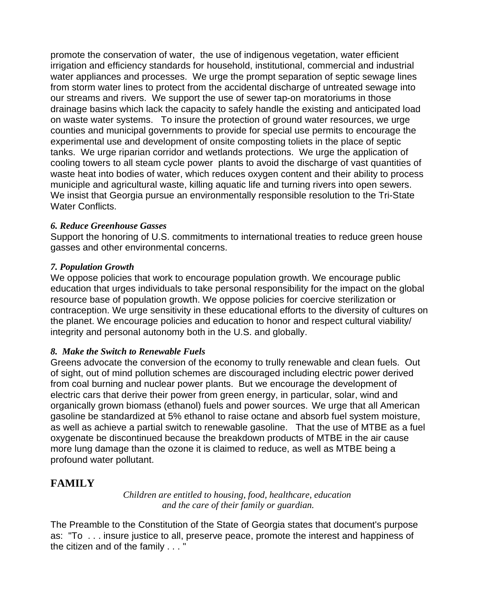promote the conservation of water, the use of indigenous vegetation, water efficient irrigation and efficiency standards for household, institutional, commercial and industrial water appliances and processes. We urge the prompt separation of septic sewage lines from storm water lines to protect from the accidental discharge of untreated sewage into our streams and rivers. We support the use of sewer tap-on moratoriums in those drainage basins which lack the capacity to safely handle the existing and anticipated load on waste water systems. To insure the protection of ground water resources, we urge counties and municipal governments to provide for special use permits to encourage the experimental use and development of onsite composting toliets in the place of septic tanks. We urge riparian corridor and wetlands protections. We urge the application of cooling towers to all steam cycle power plants to avoid the discharge of vast quantities of waste heat into bodies of water, which reduces oxygen content and their ability to process municiple and agricultural waste, killing aquatic life and turning rivers into open sewers. We insist that Georgia pursue an environmentally responsible resolution to the Tri-State Water Conflicts.

#### *6. Reduce Greenhouse Gasses*

Support the honoring of U.S. commitments to international treaties to reduce green house gasses and other environmental concerns.

#### *7. Population Growth*

We oppose policies that work to encourage population growth. We encourage public education that urges individuals to take personal responsibility for the impact on the global resource base of population growth. We oppose policies for coercive sterilization or contraception. We urge sensitivity in these educational efforts to the diversity of cultures on the planet. We encourage policies and education to honor and respect cultural viability/ integrity and personal autonomy both in the U.S. and globally.

#### *8. Make the Switch to Renewable Fuels*

Greens advocate the conversion of the economy to trully renewable and clean fuels. Out of sight, out of mind pollution schemes are discouraged including electric power derived from coal burning and nuclear power plants. But we encourage the development of electric cars that derive their power from green energy, in particular, solar, wind and organically grown biomass (ethanol) fuels and power sources. We urge that all American gasoline be standardized at 5% ethanol to raise octane and absorb fuel system moisture, as well as achieve a partial switch to renewable gasoline. That the use of MTBE as a fuel oxygenate be discontinued because the breakdown products of MTBE in the air cause more lung damage than the ozone it is claimed to reduce, as well as MTBE being a profound water pollutant.

# **FAMILY**

*Children are entitled to housing, food, healthcare, education and the care of their family or guardian.*

The Preamble to the Constitution of the State of Georgia states that document's purpose as: "To . . . insure justice to all, preserve peace, promote the interest and happiness of the citizen and of the family . . . "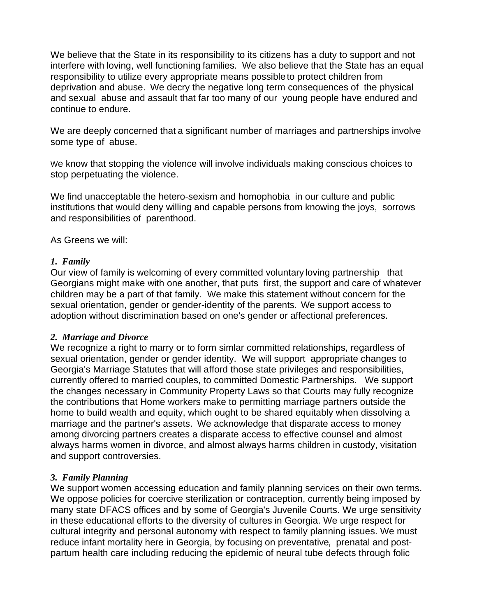We believe that the State in its responsibility to its citizens has a duty to support and not interfere with loving, well functioning families. We also believe that the State has an equal responsibility to utilize every appropriate means possibleto protect children from deprivation and abuse. We decry the negative long term consequences of the physical and sexual abuse and assault that far too many of our young people have endured and continue to endure.

We are deeply concerned that a significant number of marriages and partnerships involve some type of abuse.

We know that stopping the violence will involve individuals making conscious choices to stop perpetuating the violence.

We find unacceptable the hetero-sexism and homophobia in our culture and public institutions that would deny willing and capable persons from knowing the joys, sorrows and responsibilities of parenthood.

As Greens we will:

#### *1. Family*

Our view of family is welcoming of every committed voluntary loving partnership that Georgians might make with one another, that puts first, the support and care of whatever children may be a part of that family. We make this statement without concern for the sexual orientation, gender or gender-identity of the parents. We support access to adoption without discrimination based on one's gender or affectional preferences.

#### *2. Marriage and Divorce*

We recognize a right to marry or to form simlar committed relationships, regardless of sexual orientation, gender or gender identity. We will support appropriate changes to Georgia's Marriage Statutes that will afford those state privileges and responsibilities, currently offered to married couples, to committed Domestic Partnerships. We support the changes necessary in Community Property Laws so that Courts may fully recognize the contributions that Home workers make to permitting marriage partners outside the home to build wealth and equity, which ought to be shared equitably when dissolving a marriage and the partner's assets. We acknowledge that disparate access to money among divorcing partners creates a disparate access to effective counsel and almost always harms women in divorce, and almost always harms children in custody, visitation and support controversies.

#### *3. Family Planning*

We support women accessing education and family planning services on their own terms. We oppose policies for coercive sterilization or contraception, currently being imposed by many state DFACS offices and by some of Georgia's Juvenile Courts. We urge sensitivity in these educational efforts to the diversity of cultures in Georgia. We urge respect for cultural integrity and personal autonomy with respect to family planning issues. We must reduce infant mortality here in Georgia, by focusing on preventative, prenatal and postpartum health care including reducing the epidemic of neural tube defects through folic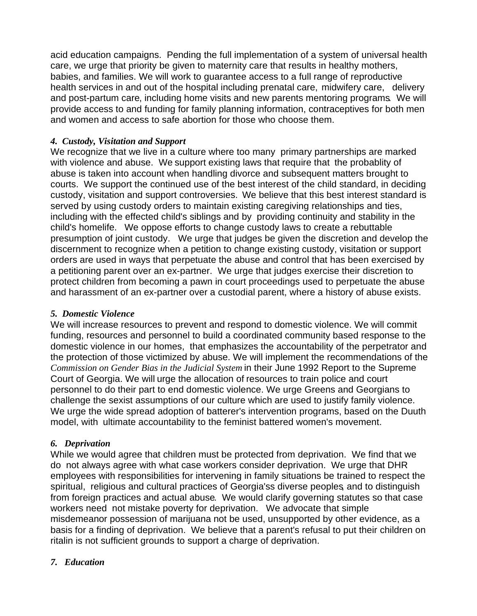acid education campaigns. Pending the full implementation of a system of universal health care, we urge that priority be given to maternity care that results in healthy mothers, babies, and families. We will work to guarantee access to a full range of reproductive health services in and out of the hospital including prenatal care, midwifery care, delivery and post-partum care, including home visits and new parents mentoring programs. We will provide access to and funding for family planning information, contraceptives for both men and women and access to safe abortion for those who choose them.

#### *4. Custody, Visitation and Support*

We recognize that we live in a culture where too many primary partnerships are marked with violence and abuse. We support existing laws that require that the probablity of abuse is taken into account when handling divorce and subsequent matters brought to courts. We support the continued use of the best interest of the child standard, in deciding custody, visitation and support controversies. We believe that this best interest standard is served by using custody orders to maintain existing caregiving relationships and ties, including with the effected child's siblings and by providing continuity and stability in the child's homelife. We oppose efforts to change custody laws to create a rebuttable presumption of joint custody. We urge that judges be given the discretion and develop the discernment to recognize when a petition to change existing custody, visitation or support orders are used in ways that perpetuate the abuse and control that has been exercised by a petitioning parent over an ex-partner. We urge that judges exercise their discretion to protect children from becoming a pawn in court proceedings used to perpetuate the abuse and harassment of an ex-partner over a custodial parent, where a history of abuse exists.

#### *5. Domestic Violence*

We will increase resources to prevent and respond to domestic violence. We will commit funding, resources and personnel to build a coordinated community based response to the domestic violence in our homes, that emphasizes the accountability of the perpetrator and the protection of those victimized by abuse. We will implement the recommendations of the *Commission on Gender Bias in the Judicial System* in their June 1992 Report to the Supreme Court of Georgia. We will urge the allocation of resources to train police and court personnel to do their part to end domestic violence. We urge Greens and Georgians to challenge the sexist assumptions of our culture which are used to justify family violence. We urge the wide spread adoption of batterer's intervention programs, based on the Duuth model, with ultimate accountability to the feminist battered women's movement.

#### *6. Deprivation*

While we would agree that children must be protected from deprivation. We find that we do not always agree with what case workers consider deprivation. We urge that DHR employees with responsibilities for intervening in family situations be trained to respect the spiritual, religious and cultural practices of Georgia'ss diverse peoples and to distinguish from foreign practices and actual abuse. We would clarify governing statutes so that case workers need not mistake poverty for deprivation. We advocate that simple misdemeanor possession of marijuana not be used, unsupported by other evidence, as a basis for a finding of deprivation. We believe that a parent's refusal to put their children on ritalin is not sufficient grounds to support a charge of deprivation.

#### *7. Education*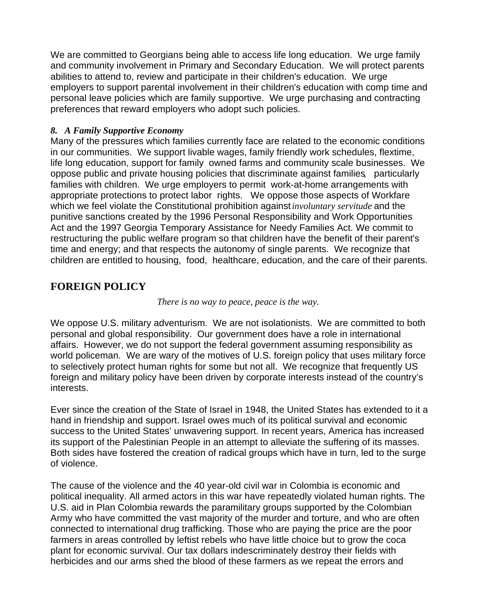We are committed to Georgians being able to access life long education. We urge family and community involvement in Primary and Secondary Education. We will protect parents abilities to attend to, review and participate in their children's education. We urge employers to support parental involvement in their children's education with comp time and personal leave policies which are family supportive. We urge purchasing and contracting preferences that reward employers who adopt such policies.

#### *8. A Family Supportive Economy*

Many of the pressures which families currently face are related to the economic conditions in our communities. We support livable wages, family friendly work schedules, flextime, life long education, support for family owned farms and community scale businesses. We oppose public and private housing policies that discriminate against families, particularly families with children. We urge employers to permit work-at-home arrangements with appropriate protections to protect labor rights. We oppose those aspects of Workfare which we feel violate the Constitutional prohibition against*involuntary servitude* and the punitive sanctions created by the 1996 Personal Responsibility and Work Opportunities Act and the 1997 Georgia Temporary Assistance for Needy Families Act. We commit to restructuring the public welfare program so that children have the benefit of their parent's time and energy; and that respects the autonomy of single parents. We recognize that children are entitled to housing, food, healthcare, education, and the care of their parents.

# **FOREIGN POLICY**

#### *There is no way to peace, peace is the way.*

We oppose U.S. military adventurism. We are not isolationists. We are committed to both personal and global responsibility. Our government does have a role in international affairs. However, we do not support the federal government assuming responsibility as world policeman. We are wary of the motives of U.S. foreign policy that uses military force to selectively protect human rights for some but not all. We recognize that frequently US foreign and military policy have been driven by corporate interests instead of the country's interests.

Ever since the creation of the State of Israel in 1948, the United States has extended to it a hand in friendship and support. Israel owes much of its political survival and economic success to the United States' unwavering support. In recent years, America has increased its support of the Palestinian People in an attempt to alleviate the suffering of its masses. Both sides have fostered the creation of radical groups which have in turn, led to the surge of violence.

The cause of the violence and the 40 year-old civil war in Colombia is economic and political inequality. All armed actors in this war have repeatedly violated human rights. The U.S. aid in Plan Colombia rewards the paramilitary groups supported by the Colombian Army who have committed the vast majority of the murder and torture, and who are often connected to international drug trafficking. Those who are paying the price are the poor farmers in areas controlled by leftist rebels who have little choice but to grow the coca plant for economic survival. Our tax dollars indescriminately destroy their fields with herbicides and our arms shed the blood of these farmers as we repeat the errors and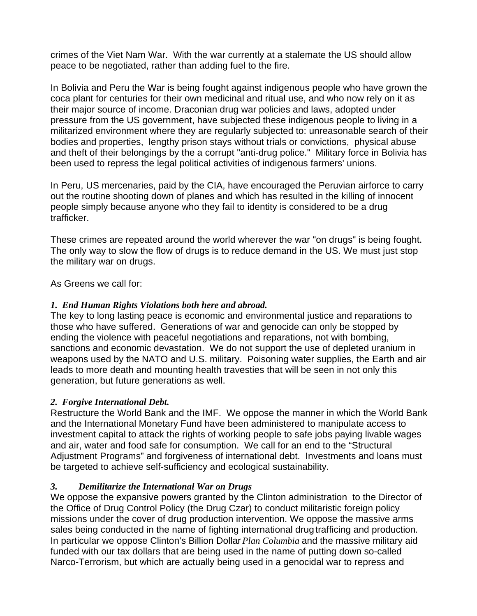crimes of the Viet Nam War. With the war currently at a stalemate the US should allow peace to be negotiated, rather than adding fuel to the fire.

In Bolivia and Peru the War is being fought against indigenous people who have grown the coca plant for centuries for their own medicinal and ritual use, and who now rely on it as their major source of income. Draconian drug war policies and laws, adopted under pressure from the US government, have subjected these indigenous people to living in a militarized environment where they are regularly subjected to: unreasonable search of their bodies and properties, lengthy prison stays without trials or convictions, physical abuse and theft of their belongings by the a corrupt "anti-drug police." Military force in Bolivia has been used to repress the legal political activities of indigenous farmers' unions.

In Peru, US mercenaries, paid by the CIA, have encouraged the Peruvian airforce to carry out the routine shooting down of planes and which has resulted in the killing of innocent people simply because anyone who they fail to identity is considered to be a drug trafficker.

These crimes are repeated around the world wherever the war "on drugs" is being fought. The only way to slow the flow of drugs is to reduce demand in the US. We must just stop the military war on drugs.

As Greens we call for:

#### *1. End Human Rights Violations both here and abroad.*

The key to long lasting peace is economic and environmental justice and reparations to those who have suffered. Generations of war and genocide can only be stopped by ending the violence with peaceful negotiations and reparations, not with bombing, sanctions and economic devastation. We do not support the use of depleted uranium in weapons used by the NATO and U.S. military. Poisoning water supplies, the Earth and air leads to more death and mounting health travesties that will be seen in not only this generation, but future generations as well.

#### *2. Forgive International Debt.*

Restructure the World Bank and the IMF. We oppose the manner in which the World Bank and the International Monetary Fund have been administered to manipulate access to investment capital to attack the rights of working people to safe jobs paying livable wages and air, water and food safe for consumption. We call for an end to the "Structural Adjustment Programs" and forgiveness of international debt. Investments and loans must be targeted to achieve self-sufficiency and ecological sustainability.

#### *3. Demilitarize the International War on Drugs*

We oppose the expansive powers granted by the Clinton administration to the Director of the Office of Drug Control Policy (the Drug Czar) to conduct militaristic foreign policy missions under the cover of drug production intervention. We oppose the massive arms sales being conducted in the name of fighting international drug trafficing and production. In particular we oppose Clinton's Billion Dollar *Plan Columbia* and the massive military aid funded with our tax dollars that are being used in the name of putting down so-called Narco-Terrorism, but which are actually being used in a genocidal war to repress and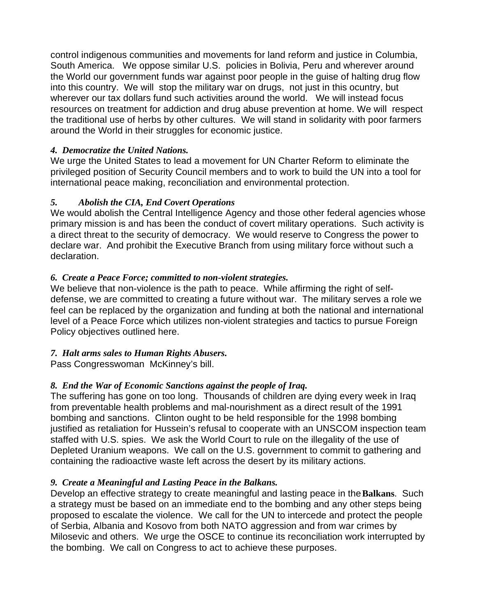control indigenous communities and movements for land reform and justice in Columbia, South America. We oppose similar U.S. policies in Bolivia, Peru and wherever around the World our government funds war against poor people in the guise of halting drug flow into this country. We will stop the military war on drugs, not just in this ocuntry, but wherever our tax dollars fund such activities around the world. We will instead focus resources on treatment for addiction and drug abuse prevention at home. We will respect the traditional use of herbs by other cultures. We will stand in solidarity with poor farmers around the World in their struggles for economic justice.

#### *4. Democratize the United Nations.*

We urge the United States to lead a movement for UN Charter Reform to eliminate the privileged position of Security Council members and to work to build the UN into a tool for international peace making, reconciliation and environmental protection.

#### *5. Abolish the CIA, End Covert Operations*

We would abolish the Central Intelligence Agency and those other federal agencies whose primary mission is and has been the conduct of covert military operations. Such activity is a direct threat to the security of democracy. We would reserve to Congress the power to declare war. And prohibit the Executive Branch from using military force without such a declaration.

#### *6. Create a Peace Force; committed to non-violent strategies.*

We believe that non-violence is the path to peace. While affirming the right of selfdefense, we are committed to creating a future without war. The military serves a role we feel can be replaced by the organization and funding at both the national and international level of a Peace Force which utilizes non-violent strategies and tactics to pursue Foreign Policy objectives outlined here.

#### *7. Halt arms sales to Human Rights Abusers.*

Pass Congresswoman McKinney's bill.

#### *8. End the War of Economic Sanctions against the people of Iraq.*

The suffering has gone on too long. Thousands of children are dying every week in Iraq from preventable health problems and mal-nourishment as a direct result of the 1991 bombing and sanctions. Clinton ought to be held responsible for the 1998 bombing justified as retaliation for Hussein's refusal to cooperate with an UNSCOM inspection team staffed with U.S. spies. We ask the World Court to rule on the illegality of the use of Depleted Uranium weapons. We call on the U.S. government to commit to gathering and containing the radioactive waste left across the desert by its military actions.

#### *9. Create a Meaningful and Lasting Peace in the Balkans.*

Develop an effective strategy to create meaningful and lasting peace in the**Balkans**. Such a strategy must be based on an immediate end to the bombing and any other steps being proposed to escalate the violence. We call for the UN to intercede and protect the people of Serbia, Albania and Kosovo from both NATO aggression and from war crimes by Milosevic and others. We urge the OSCE to continue its reconciliation work interrupted by the bombing. We call on Congress to act to achieve these purposes.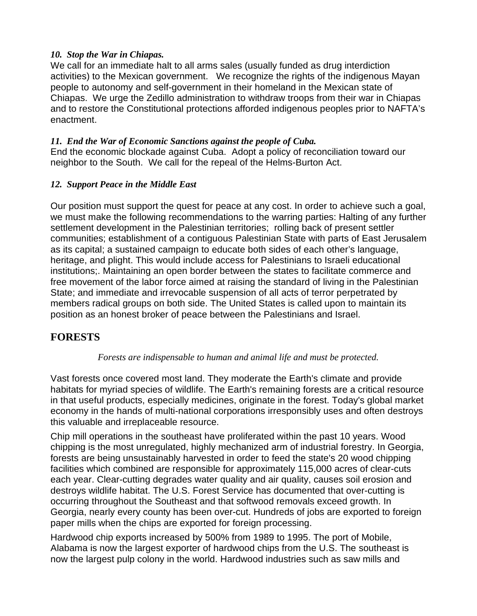#### *10. Stop the War in Chiapas.*

We call for an immediate halt to all arms sales (usually funded as drug interdiction activities) to the Mexican government. We recognize the rights of the indigenous Mayan people to autonomy and self-government in their homeland in the Mexican state of Chiapas. We urge the Zedillo administration to withdraw troops from their war in Chiapas and to restore the Constitutional protections afforded indigenous peoples prior to NAFTA's enactment.

#### *11. End the War of Economic Sanctions against the people of Cuba.*

End the economic blockade against Cuba. Adopt a policy of reconciliation toward our neighbor to the South. We call for the repeal of the Helms-Burton Act.

#### *12. Support Peace in the Middle East*

Our position must support the quest for peace at any cost. In order to achieve such a goal, we must make the following recommendations to the warring parties: Halting of any further settlement development in the Palestinian territories; rolling back of present settler communities; establishment of a contiguous Palestinian State with parts of East Jerusalem as its capital; a sustained campaign to educate both sides of each other's language, heritage, and plight. This would include access for Palestinians to Israeli educational institutions;. Maintaining an open border between the states to facilitate commerce and free movement of the labor force aimed at raising the standard of living in the Palestinian State; and immediate and irrevocable suspension of all acts of terror perpetrated by members radical groups on both side. The United States is called upon to maintain its position as an honest broker of peace between the Palestinians and Israel.

# **FORESTS**

#### *Forests are indispensable to human and animal life and must be protected.*

Vast forests once covered most land. They moderate the Earth's climate and provide habitats for myriad species of wildlife. The Earth's remaining forests are a critical resource in that useful products, especially medicines, originate in the forest. Today's global market economy in the hands of multi-national corporations irresponsibly uses and often destroys this valuable and irreplaceable resource.

Chip mill operations in the southeast have proliferated within the past 10 years. Wood chipping is the most unregulated, highly mechanized arm of industrial forestry. In Georgia, forests are being unsustainably harvested in order to feed the state's 20 wood chipping facilities which combined are responsible for approximately 115,000 acres of clear-cuts each year. Clear-cutting degrades water quality and air quality, causes soil erosion and destroys wildlife habitat. The U.S. Forest Service has documented that over-cutting is occurring throughout the Southeast and that softwood removals exceed growth. In Georgia, nearly every county has been over-cut. Hundreds of jobs are exported to foreign paper mills when the chips are exported for foreign processing.

Hardwood chip exports increased by 500% from 1989 to 1995. The port of Mobile, Alabama is now the largest exporter of hardwood chips from the U.S. The southeast is now the largest pulp colony in the world. Hardwood industries such as saw mills and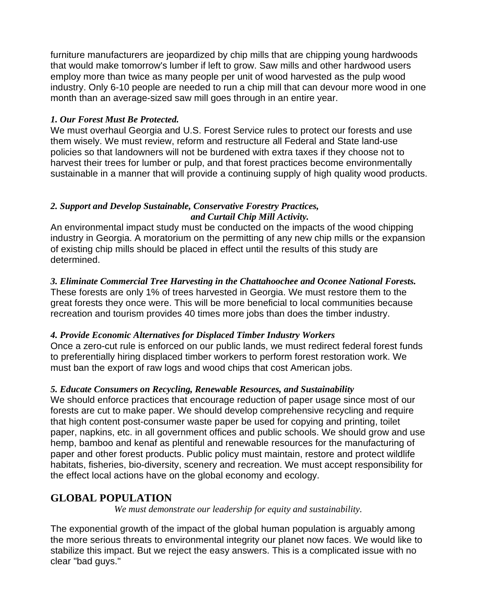furniture manufacturers are jeopardized by chip mills that are chipping young hardwoods that would make tomorrow's lumber if left to grow. Saw mills and other hardwood users employ more than twice as many people per unit of wood harvested as the pulp wood industry. Only 6-10 people are needed to run a chip mill that can devour more wood in one month than an average-sized saw mill goes through in an entire year.

#### *1. Our Forest Must Be Protected.*

We must overhaul Georgia and U.S. Forest Service rules to protect our forests and use them wisely. We must review, reform and restructure all Federal and State land-use policies so that landowners will not be burdened with extra taxes if they choose not to harvest their trees for lumber or pulp, and that forest practices become environmentally sustainable in a manner that will provide a continuing supply of high quality wood products.

#### *2. Support and Develop Sustainable, Conservative Forestry Practices, and Curtail Chip Mill Activity.*

An environmental impact study must be conducted on the impacts of the wood chipping industry in Georgia. A moratorium on the permitting of any new chip mills or the expansion of existing chip mills should be placed in effect until the results of this study are determined.

*3. Eliminate Commercial Tree Harvesting in the Chattahoochee and Oconee National Forests.*  These forests are only 1% of trees harvested in Georgia. We must restore them to the great forests they once were. This will be more beneficial to local communities because recreation and tourism provides 40 times more jobs than does the timber industry.

#### *4. Provide Economic Alternatives for Displaced Timber Industry Workers*

Once a zero-cut rule is enforced on our public lands, we must redirect federal forest funds to preferentially hiring displaced timber workers to perform forest restoration work. We must ban the export of raw logs and wood chips that cost American jobs.

#### *5. Educate Consumers on Recycling, Renewable Resources, and Sustainability*

We should enforce practices that encourage reduction of paper usage since most of our forests are cut to make paper. We should develop comprehensive recycling and require that high content post-consumer waste paper be used for copying and printing, toilet paper, napkins, etc. in all government offices and public schools. We should grow and use hemp, bamboo and kenaf as plentiful and renewable resources for the manufacturing of paper and other forest products. Public policy must maintain, restore and protect wildlife habitats, fisheries, bio-diversity, scenery and recreation. We must accept responsibility for the effect local actions have on the global economy and ecology.

# **GLOBAL POPULATION**

*We must demonstrate our leadership for equity and sustainability.*

The exponential growth of the impact of the global human population is arguably among the more serious threats to environmental integrity our planet now faces. We would like to stabilize this impact. But we reject the easy answers. This is a complicated issue with no clear "bad guys."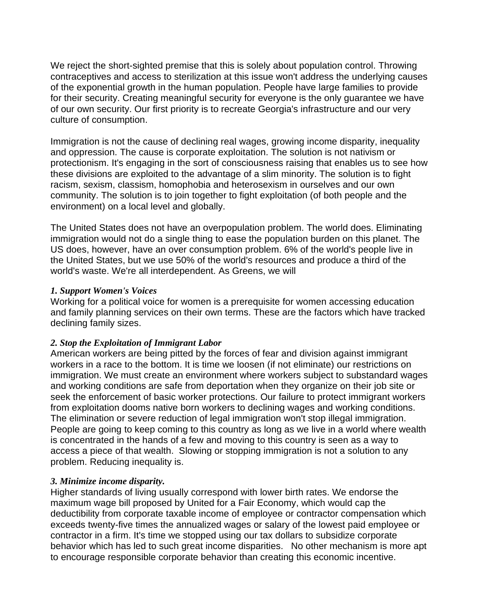We reject the short-sighted premise that this is solely about population control. Throwing contraceptives and access to sterilization at this issue won't address the underlying causes of the exponential growth in the human population. People have large families to provide for their security. Creating meaningful security for everyone is the only guarantee we have of our own security. Our first priority is to recreate Georgia's infrastructure and our very culture of consumption.

Immigration is not the cause of declining real wages, growing income disparity, inequality and oppression. The cause is corporate exploitation. The solution is not nativism or protectionism. It's engaging in the sort of consciousness raising that enables us to see how these divisions are exploited to the advantage of a slim minority. The solution is to fight racism, sexism, classism, homophobia and heterosexism in ourselves and our own community. The solution is to join together to fight exploitation (of both people and the environment) on a local level and globally.

The United States does not have an overpopulation problem. The world does. Eliminating immigration would not do a single thing to ease the population burden on this planet. The US does, however, have an over consumption problem. 6% of the world's people live in the United States, but we use 50% of the world's resources and produce a third of the world's waste. We're all interdependent. As Greens, we will

#### *1. Support Women's Voices*

Working for a political voice for women is a prerequisite for women accessing education and family planning services on their own terms. These are the factors which have tracked declining family sizes.

#### *2. Stop the Exploitation of Immigrant Labor*

American workers are being pitted by the forces of fear and division against immigrant workers in a race to the bottom. It is time we loosen (if not eliminate) our restrictions on immigration. We must create an environment where workers subject to substandard wages and working conditions are safe from deportation when they organize on their job site or seek the enforcement of basic worker protections. Our failure to protect immigrant workers from exploitation dooms native born workers to declining wages and working conditions. The elimination or severe reduction of legal immigration won't stop illegal immigration. People are going to keep coming to this country as long as we live in a world where wealth is concentrated in the hands of a few and moving to this country is seen as a way to access a piece of that wealth. Slowing or stopping immigration is not a solution to any problem. Reducing inequality is.

#### *3. Minimize income disparity.*

Higher standards of living usually correspond with lower birth rates. We endorse the maximum wage bill proposed by United for a Fair Economy, which would cap the deductibility from corporate taxable income of employee or contractor compensation which exceeds twenty-five times the annualized wages or salary of the lowest paid employee or contractor in a firm. It's time we stopped using our tax dollars to subsidize corporate behavior which has led to such great income disparities. No other mechanism is more apt to encourage responsible corporate behavior than creating this economic incentive.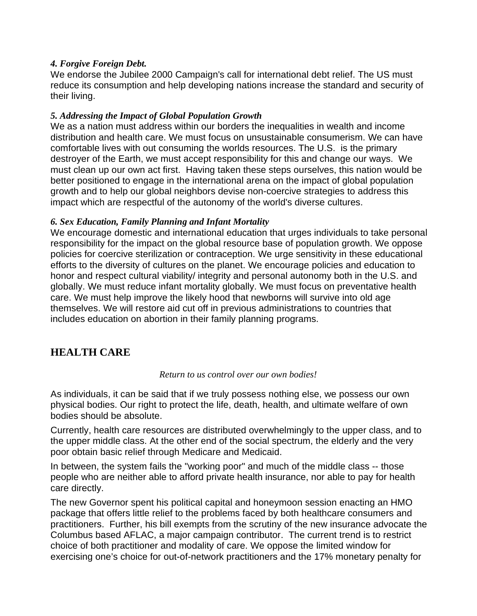#### *4. Forgive Foreign Debt.*

We endorse the Jubilee 2000 Campaign's call for international debt relief. The US must reduce its consumption and help developing nations increase the standard and security of their living.

#### *5. Addressing the Impact of Global Population Growth*

We as a nation must address within our borders the inequalities in wealth and income distribution and health care. We must focus on unsustainable consumerism. We can have comfortable lives with out consuming the worlds resources. The U.S. is the primary destroyer of the Earth, we must accept responsibility for this and change our ways. We must clean up our own act first. Having taken these steps ourselves, this nation would be better positioned to engage in the international arena on the impact of global population growth and to help our global neighbors devise non-coercive strategies to address this impact which are respectful of the autonomy of the world's diverse cultures.

#### *6. Sex Education, Family Planning and Infant Mortality*

We encourage domestic and international education that urges individuals to take personal responsibility for the impact on the global resource base of population growth. We oppose policies for coercive sterilization or contraception. We urge sensitivity in these educational efforts to the diversity of cultures on the planet. We encourage policies and education to honor and respect cultural viability/ integrity and personal autonomy both in the U.S. and globally. We must reduce infant mortality globally. We must focus on preventative health care. We must help improve the likely hood that newborns will survive into old age themselves. We will restore aid cut off in previous administrations to countries that includes education on abortion in their family planning programs.

# **HEALTH CARE**

#### *Return to us control over our own bodies!*

As individuals, it can be said that if we truly possess nothing else, we possess our own physical bodies. Our right to protect the life, death, health, and ultimate welfare of own bodies should be absolute.

Currently, health care resources are distributed overwhelmingly to the upper class, and to the upper middle class. At the other end of the social spectrum, the elderly and the very poor obtain basic relief through Medicare and Medicaid.

In between, the system fails the "working poor" and much of the middle class -- those people who are neither able to afford private health insurance, nor able to pay for health care directly.

The new Governor spent his political capital and honeymoon session enacting an HMO package that offers little relief to the problems faced by both healthcare consumers and practitioners. Further, his bill exempts from the scrutiny of the new insurance advocate the Columbus based AFLAC, a major campaign contributor. The current trend is to restrict choice of both practitioner and modality of care. We oppose the limited window for exercising one's choice for out-of-network practitioners and the 17% monetary penalty for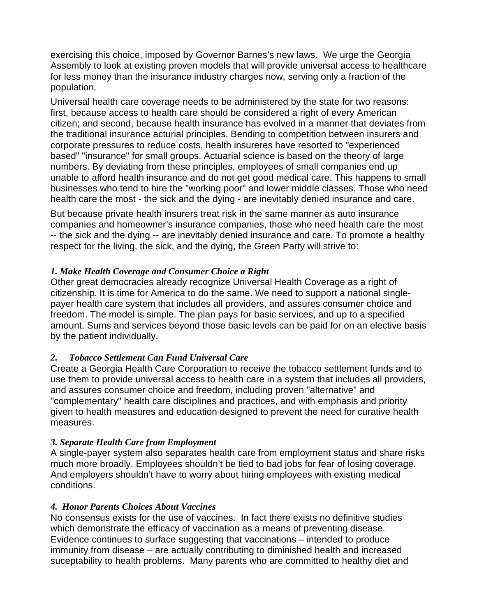exercising this choice, imposed by Governor Barnes's new laws. We urge the Georgia Assembly to look at existing proven models that will provide universal access to healthcare for less money than the insurance industry charges now, serving only a fraction of the population.

Universal health care coverage needs to be administered by the state for two reasons: first, because access to health care should be considered a right of every American citizen; and second, because health insurance has evolved in a manner that deviates from the traditional insurance acturial principles. Bending to competition between insurers and corporate pressures to reduce costs, health insureres have resorted to "experienced based" "insurance" for small groups. Actuarial science is based on the theory of large numbers. By deviating from these principles, employees of small companies end up unable to afford health insurance and do not get good medical care. This happens to small businesses who tend to hire the "working poor" and lower middle classes. Those who need health care the most - the sick and the dying - are inevitably denied insurance and care.

But because private health insurers treat risk in the same manner as auto insurance companies and homeowner's insurance companies, those who need health care the most -- the sick and the dying -- are inevitably denied insurance and care. To promote a healthy respect for the living, the sick, and the dying, the Green Party will strive to:

#### *1. Make Health Coverage and Consumer Choice a Right*

Other great democracies already recognize Universal Health Coverage as a right of citizenship. It is time for America to do the same. We need to support a national singlepayer health care system that includes all providers, and assures consumer choice and freedom. The model is simple. The plan pays for basic services, and up to a specified amount. Sums and services beyond those basic levels can be paid for on an elective basis by the patient individually.

#### *2. Tobacco Settlement Can Fund Universal Care*

Create a Georgia Health Care Corporation to receive the tobacco settlement funds and to use them to provide universal access to health care in a system that includes all providers, and assures consumer choice and freedom, including proven "alternative" and "complementary" health care disciplines and practices, and with emphasis and priority given to health measures and education designed to prevent the need for curative health measures.

#### *3. Separate Health Care from Employment*

A single-payer system also separates health care from employment status and share risks much more broadly. Employees shouldn't be tied to bad jobs for fear of losing coverage. And employers shouldn't have to worry about hiring employees with existing medical conditions.

#### *4. Honor Parents Choices About Vaccines*

No consensus exists for the use of vaccines. In fact there exists no definitive studies which demonstrate the efficacy of vaccination as a means of preventing disease. Evidence continues to surface suggesting that vaccinations – intended to produce immunity from disease – are actually contributing to diminished health and increased suceptability to health problems. Many parents who are committed to healthy diet and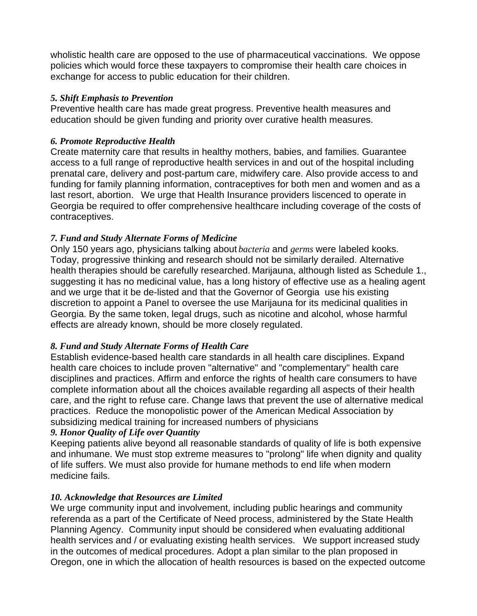wholistic health care are opposed to the use of pharmaceutical vaccinations. We oppose policies which would force these taxpayers to compromise their health care choices in exchange for access to public education for their children.

#### *5. Shift Emphasis to Prevention*

Preventive health care has made great progress. Preventive health measures and education should be given funding and priority over curative health measures.

#### *6. Promote Reproductive Health*

Create maternity care that results in healthy mothers, babies, and families. Guarantee access to a full range of reproductive health services in and out of the hospital including prenatal care, delivery and post-partum care, midwifery care. Also provide access to and funding for family planning information, contraceptives for both men and women and as a last resort, abortion. We urge that Health Insurance providers liscenced to operate in Georgia be required to offer comprehensive healthcare including coverage of the costs of contraceptives.

# *7. Fund and Study Alternate Forms of Medicine*

Only 150 years ago, physicians talking about *bacteria* and *germs* were labeled kooks. Today, progressive thinking and research should not be similarly derailed. Alternative health therapies should be carefully researched. Marijauna, although listed as Schedule 1., suggesting it has no medicinal value, has a long history of effective use as a healing agent and we urge that it be de-listed and that the Governor of Georgia use his existing discretion to appoint a Panel to oversee the use Marijauna for its medicinal qualities in Georgia. By the same token, legal drugs, such as nicotine and alcohol, whose harmful effects are already known, should be more closely regulated.

#### *8. Fund and Study Alternate Forms of Health Care*

Establish evidence-based health care standards in all health care disciplines. Expand health care choices to include proven "alternative" and "complementary" health care disciplines and practices. Affirm and enforce the rights of health care consumers to have complete information about all the choices available regarding all aspects of their health care, and the right to refuse care. Change laws that prevent the use of alternative medical practices. Reduce the monopolistic power of the American Medical Association by subsidizing medical training for increased numbers of physicians

#### *9. Honor Quality of Life over Quantity*

Keeping patients alive beyond all reasonable standards of quality of life is both expensive and inhumane. We must stop extreme measures to "prolong" life when dignity and quality of life suffers. We must also provide for humane methods to end life when modern medicine fails.

# *10. Acknowledge that Resources are Limited*

We urge community input and involvement, including public hearings and community referenda as a part of the Certificate of Need process, administered by the State Health Planning Agency. Community input should be considered when evaluating additional health services and / or evaluating existing health services. We support increased study in the outcomes of medical procedures. Adopt a plan similar to the plan proposed in Oregon, one in which the allocation of health resources is based on the expected outcome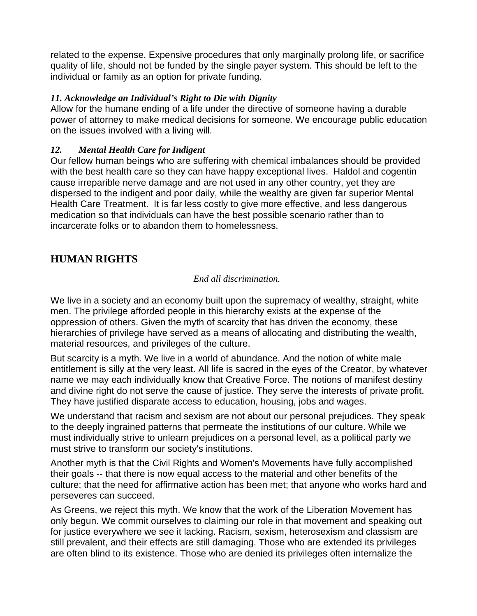related to the expense. Expensive procedures that only marginally prolong life, or sacrifice quality of life, should not be funded by the single payer system. This should be left to the individual or family as an option for private funding.

#### *11. Acknowledge an Individual's Right to Die with Dignity*

Allow for the humane ending of a life under the directive of someone having a durable power of attorney to make medical decisions for someone. We encourage public education on the issues involved with a living will.

#### *12. Mental Health Care for Indigent*

Our fellow human beings who are suffering with chemical imbalances should be provided with the best health care so they can have happy exceptional lives. Haldol and cogentin cause irreparible nerve damage and are not used in any other country, yet they are dispersed to the indigent and poor daily, while the wealthy are given far superior Mental Health Care Treatment. It is far less costly to give more effective, and less dangerous medication so that individuals can have the best possible scenario rather than to incarcerate folks or to abandon them to homelessness.

# **HUMAN RIGHTS**

#### *End all discrimination.*

We live in a society and an economy built upon the supremacy of wealthy, straight, white men. The privilege afforded people in this hierarchy exists at the expense of the oppression of others. Given the myth of scarcity that has driven the economy, these hierarchies of privilege have served as a means of allocating and distributing the wealth, material resources, and privileges of the culture.

But scarcity is a myth. We live in a world of abundance. And the notion of white male entitlement is silly at the very least. All life is sacred in the eyes of the Creator, by whatever name we may each individually know that Creative Force. The notions of manifest destiny and divine right do not serve the cause of justice. They serve the interests of private profit. They have justified disparate access to education, housing, jobs and wages.

We understand that racism and sexism are not about our personal prejudices. They speak to the deeply ingrained patterns that permeate the institutions of our culture. While we must individually strive to unlearn prejudices on a personal level, as a political party we must strive to transform our society's institutions.

Another myth is that the Civil Rights and Women's Movements have fully accomplished their goals -- that there is now equal access to the material and other benefits of the culture; that the need for affirmative action has been met; that anyone who works hard and perseveres can succeed.

As Greens, we reject this myth. We know that the work of the Liberation Movement has only begun. We commit ourselves to claiming our role in that movement and speaking out for justice everywhere we see it lacking. Racism, sexism, heterosexism and classism are still prevalent, and their effects are still damaging. Those who are extended its privileges are often blind to its existence. Those who are denied its privileges often internalize the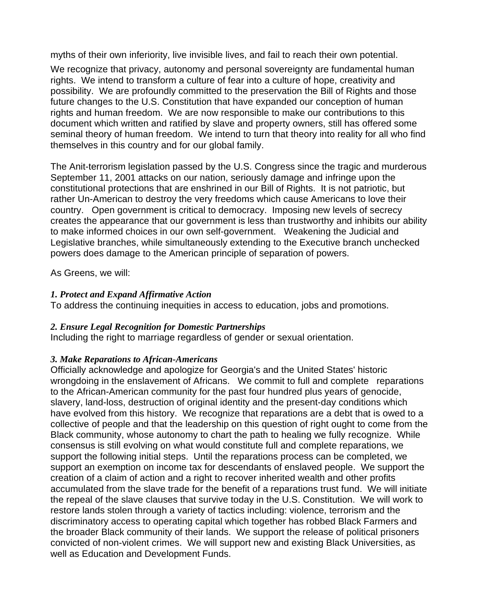myths of their own inferiority, live invisible lives, and fail to reach their own potential.

We recognize that privacy, autonomy and personal sovereignty are fundamental human rights. We intend to transform a culture of fear into a culture of hope, creativity and possibility. We are profoundly committed to the preservation the Bill of Rights and those future changes to the U.S. Constitution that have expanded our conception of human rights and human freedom. We are now responsible to make our contributions to this document which written and ratified by slave and property owners, still has offered some seminal theory of human freedom. We intend to turn that theory into reality for all who find themselves in this country and for our global family.

The Anit-terrorism legislation passed by the U.S. Congress since the tragic and murderous September 11, 2001 attacks on our nation, seriously damage and infringe upon the constitutional protections that are enshrined in our Bill of Rights. It is not patriotic, but rather Un-American to destroy the very freedoms which cause Americans to love their country. Open government is critical to democracy. Imposing new levels of secrecy creates the appearance that our government is less than trustworthy and inhibits our ability to make informed choices in our own self-government. Weakening the Judicial and Legislative branches, while simultaneously extending to the Executive branch unchecked powers does damage to the American principle of separation of powers.

As Greens, we will:

#### *1. Protect and Expand Affirmative Action*

To address the continuing inequities in access to education, jobs and promotions.

#### *2. Ensure Legal Recognition for Domestic Partnerships*

Including the right to marriage regardless of gender or sexual orientation.

#### *3. Make Reparations to African-Americans*

Officially acknowledge and apologize for Georgia's and the United States' historic wrongdoing in the enslavement of Africans. We commit to full and complete reparations to the African-American community for the past four hundred plus years of genocide, slavery, land-loss, destruction of original identity and the present-day conditions which have evolved from this history. We recognize that reparations are a debt that is owed to a collective of people and that the leadership on this question of right ought to come from the Black community, whose autonomy to chart the path to healing we fully recognize. While consensus is still evolving on what would constitute full and complete reparations, we support the following initial steps. Until the reparations process can be completed, we support an exemption on income tax for descendants of enslaved people. We support the creation of a claim of action and a right to recover inherited wealth and other profits accumulated from the slave trade for the benefit of a reparations trust fund. We will initiate the repeal of the slave clauses that survive today in the U.S. Constitution. We will work to restore lands stolen through a variety of tactics including: violence, terrorism and the discriminatory access to operating capital which together has robbed Black Farmers and the broader Black community of their lands. We support the release of political prisoners convicted of non-violent crimes. We will support new and existing Black Universities, as well as Education and Development Funds.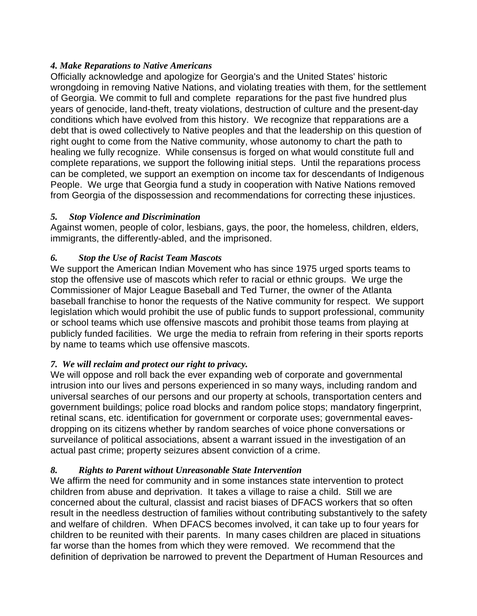#### *4. Make Reparations to Native Americans*

Officially acknowledge and apologize for Georgia's and the United States' historic wrongdoing in removing Native Nations, and violating treaties with them, for the settlement of Georgia. We commit to full and complete reparations for the past five hundred plus years of genocide, land-theft, treaty violations, destruction of culture and the present-day conditions which have evolved from this history. We recognize that repparations are a debt that is owed collectively to Native peoples and that the leadership on this question of right ought to come from the Native community, whose autonomy to chart the path to healing we fully recognize. While consensus is forged on what would constitute full and complete reparations, we support the following initial steps. Until the reparations process can be completed, we support an exemption on income tax for descendants of Indigenous People. We urge that Georgia fund a study in cooperation with Native Nations removed from Georgia of the dispossession and recommendations for correcting these injustices.

# *5. Stop Violence and Discrimination*

Against women, people of color, lesbians, gays, the poor, the homeless, children, elders, immigrants, the differently-abled, and the imprisoned.

# *6. Stop the Use of Racist Team Mascots*

We support the American Indian Movement who has since 1975 urged sports teams to stop the offensive use of mascots which refer to racial or ethnic groups. We urge the Commissioner of Major League Baseball and Ted Turner, the owner of the Atlanta baseball franchise to honor the requests of the Native community for respect. We support legislation which would prohibit the use of public funds to support professional, community or school teams which use offensive mascots and prohibit those teams from playing at publicly funded facilities. We urge the media to refrain from refering in their sports reports by name to teams which use offensive mascots.

# *7. We will reclaim and protect our right to privacy.*

We will oppose and roll back the ever expanding web of corporate and governmental intrusion into our lives and persons experienced in so many ways, including random and universal searches of our persons and our property at schools, transportation centers and government buildings; police road blocks and random police stops; mandatory fingerprint, retinal scans, etc. identification for government or corporate uses; governmental eavesdropping on its citizens whether by random searches of voice phone conversations or surveilance of political associations, absent a warrant issued in the investigation of an actual past crime; property seizures absent conviction of a crime.

# *8. Rights to Parent without Unreasonable State Intervention*

We affirm the need for community and in some instances state intervention to protect children from abuse and deprivation. It takes a village to raise a child. Still we are concerned about the cultural, classist and racist biases of DFACS workers that so often result in the needless destruction of families without contributing substantively to the safety and welfare of children. When DFACS becomes involved, it can take up to four years for children to be reunited with their parents. In many cases children are placed in situations far worse than the homes from which they were removed. We recommend that the definition of deprivation be narrowed to prevent the Department of Human Resources and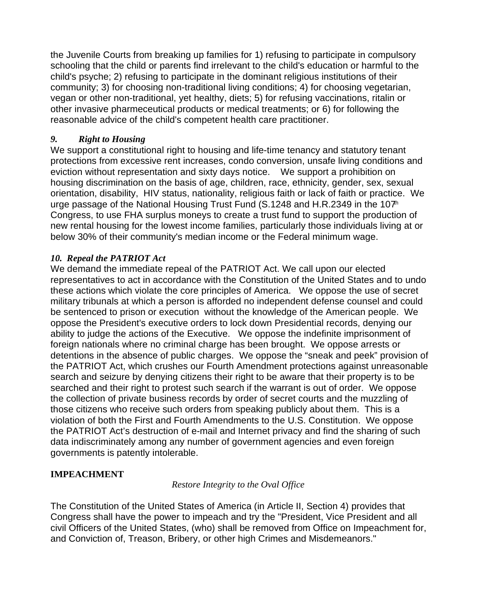the Juvenile Courts from breaking up families for 1) refusing to participate in compulsory schooling that the child or parents find irrelevant to the child's education or harmful to the child's psyche; 2) refusing to participate in the dominant religious institutions of their community; 3) for choosing non-traditional living conditions; 4) for choosing vegetarian, vegan or other non-traditional, yet healthy, diets; 5) for refusing vaccinations, ritalin or other invasive pharmeceutical products or medical treatments; or 6) for following the reasonable advice of the child's competent health care practitioner.

#### *9. Right to Housing*

We support a constitutional right to housing and life-time tenancy and statutory tenant protections from excessive rent increases, condo conversion, unsafe living conditions and eviction without representation and sixty days notice. We support a prohibition on housing discrimination on the basis of age, children, race, ethnicity, gender, sex, sexual orientation, disability, HIV status, nationality, religious faith or lack of faith or practice. We urge passage of the National Housing Trust Fund (S.1248 and H.R.2349 in the 107<sup>th</sup> Congress, to use FHA surplus moneys to create a trust fund to support the production of new rental housing for the lowest income families, particularly those individuals living at or below 30% of their community's median income or the Federal minimum wage.

#### *10. Repeal the PATRIOT Act*

We demand the immediate repeal of the PATRIOT Act. We call upon our elected representatives to act in accordance with the Constitution of the United States and to undo these actions which violate the core principles of America. We oppose the use of secret military tribunals at which a person is afforded no independent defense counsel and could be sentenced to prison or execution without the knowledge of the American people. We oppose the President's executive orders to lock down Presidential records, denying our ability to judge the actions of the Executive. We oppose the indefinite imprisonment of foreign nationals where no criminal charge has been brought. We oppose arrests or detentions in the absence of public charges. We oppose the "sneak and peek" provision of the PATRIOT Act, which crushes our Fourth Amendment protections against unreasonable search and seizure by denying citizens their right to be aware that their property is to be searched and their right to protest such search if the warrant is out of order. We oppose the collection of private business records by order of secret courts and the muzzling of those citizens who receive such orders from speaking publicly about them. This is a violation of both the First and Fourth Amendments to the U.S. Constitution. We oppose the PATRIOT Act's destruction of e-mail and Internet privacy and find the sharing of such data indiscriminately among any number of government agencies and even foreign governments is patently intolerable.

#### **IMPEACHMENT**

#### *Restore Integrity to the Oval Office*

The Constitution of the United States of America (in Article II, Section 4) provides that Congress shall have the power to impeach and try the "President, Vice President and all civil Officers of the United States, (who) shall be removed from Office on Impeachment for, and Conviction of, Treason, Bribery, or other high Crimes and Misdemeanors."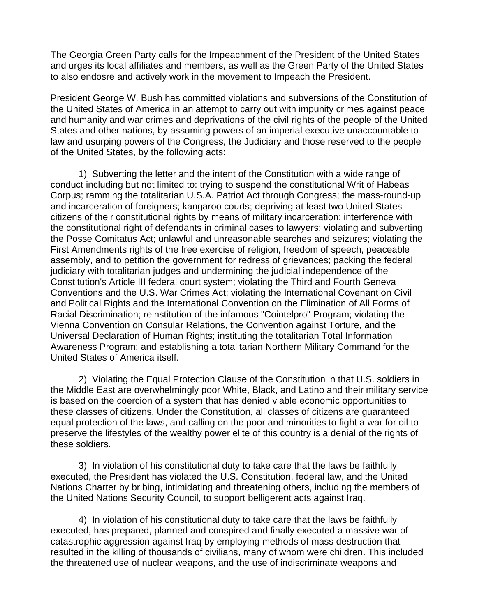The Georgia Green Party calls for the Impeachment of the President of the United States and urges its local affiliates and members, as well as the Green Party of the United States to also endosre and actively work in the movement to Impeach the President.

President George W. Bush has committed violations and subversions of the Constitution of the United States of America in an attempt to carry out with impunity crimes against peace and humanity and war crimes and deprivations of the civil rights of the people of the United States and other nations, by assuming powers of an imperial executive unaccountable to law and usurping powers of the Congress, the Judiciary and those reserved to the people of the United States, by the following acts:

1) Subverting the letter and the intent of the Constitution with a wide range of conduct including but not limited to: trying to suspend the constitutional Writ of Habeas Corpus; ramming the totalitarian U.S.A. Patriot Act through Congress; the mass-round-up and incarceration of foreigners; kangaroo courts; depriving at least two United States citizens of their constitutional rights by means of military incarceration; interference with the constitutional right of defendants in criminal cases to lawyers; violating and subverting the Posse Comitatus Act; unlawful and unreasonable searches and seizures; violating the First Amendments rights of the free exercise of religion, freedom of speech, peaceable assembly, and to petition the government for redress of grievances; packing the federal judiciary with totalitarian judges and undermining the judicial independence of the Constitution's Article III federal court system; violating the Third and Fourth Geneva Conventions and the U.S. War Crimes Act; violating the International Covenant on Civil and Political Rights and the International Convention on the Elimination of All Forms of Racial Discrimination; reinstitution of the infamous "Cointelpro" Program; violating the Vienna Convention on Consular Relations, the Convention against Torture, and the Universal Declaration of Human Rights; instituting the totalitarian Total Information Awareness Program; and establishing a totalitarian Northern Military Command for the United States of America itself.

2) Violating the Equal Protection Clause of the Constitution in that U.S. soldiers in the Middle East are overwhelmingly poor White, Black, and Latino and their military service is based on the coercion of a system that has denied viable economic opportunities to these classes of citizens. Under the Constitution, all classes of citizens are guaranteed equal protection of the laws, and calling on the poor and minorities to fight a war for oil to preserve the lifestyles of the wealthy power elite of this country is a denial of the rights of these soldiers.

3) In violation of his constitutional duty to take care that the laws be faithfully executed, the President has violated the U.S. Constitution, federal law, and the United Nations Charter by bribing, intimidating and threatening others, including the members of the United Nations Security Council, to support belligerent acts against Iraq.

4) In violation of his constitutional duty to take care that the laws be faithfully executed, has prepared, planned and conspired and finally executed a massive war of catastrophic aggression against Iraq by employing methods of mass destruction that resulted in the killing of thousands of civilians, many of whom were children. This included the threatened use of nuclear weapons, and the use of indiscriminate weapons and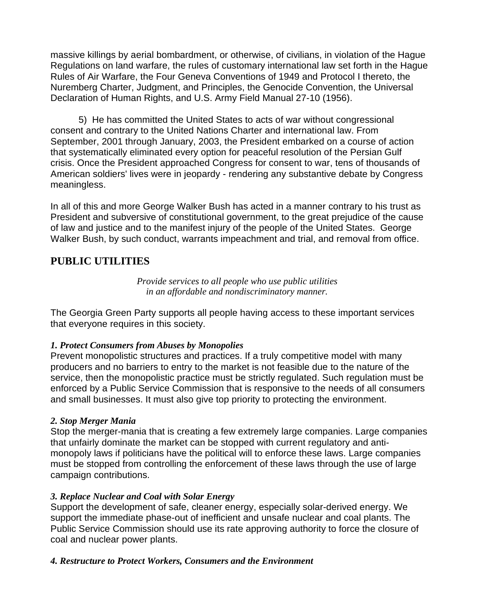massive killings by aerial bombardment, or otherwise, of civilians, in violation of the Hague Regulations on land warfare, the rules of customary international law set forth in the Hague Rules of Air Warfare, the Four Geneva Conventions of 1949 and Protocol I thereto, the Nuremberg Charter, Judgment, and Principles, the Genocide Convention, the Universal Declaration of Human Rights, and U.S. Army Field Manual 27-10 (1956).

5) He has committed the United States to acts of war without congressional consent and contrary to the United Nations Charter and international law. From September, 2001 through January, 2003, the President embarked on a course of action that systematically eliminated every option for peaceful resolution of the Persian Gulf crisis. Once the President approached Congress for consent to war, tens of thousands of American soldiers' lives were in jeopardy - rendering any substantive debate by Congress meaningless.

In all of this and more George Walker Bush has acted in a manner contrary to his trust as President and subversive of constitutional government, to the great prejudice of the cause of law and justice and to the manifest injury of the people of the United States. George Walker Bush, by such conduct, warrants impeachment and trial, and removal from office.

# **PUBLIC UTILITIES**

*Provide services to all people who use public utilities in an affordable and nondiscriminatory manner.* 

The Georgia Green Party supports all people having access to these important services that everyone requires in this society.

#### *1. Protect Consumers from Abuses by Monopolies*

Prevent monopolistic structures and practices. If a truly competitive model with many producers and no barriers to entry to the market is not feasible due to the nature of the service, then the monopolistic practice must be strictly regulated. Such regulation must be enforced by a Public Service Commission that is responsive to the needs of all consumers and small businesses. It must also give top priority to protecting the environment.

#### *2. Stop Merger Mania*

Stop the merger-mania that is creating a few extremely large companies. Large companies that unfairly dominate the market can be stopped with current regulatory and antimonopoly laws if politicians have the political will to enforce these laws. Large companies must be stopped from controlling the enforcement of these laws through the use of large campaign contributions.

#### *3. Replace Nuclear and Coal with Solar Energy*

Support the development of safe, cleaner energy, especially solar-derived energy. We support the immediate phase-out of inefficient and unsafe nuclear and coal plants. The Public Service Commission should use its rate approving authority to force the closure of coal and nuclear power plants.

#### *4. Restructure to Protect Workers, Consumers and the Environment*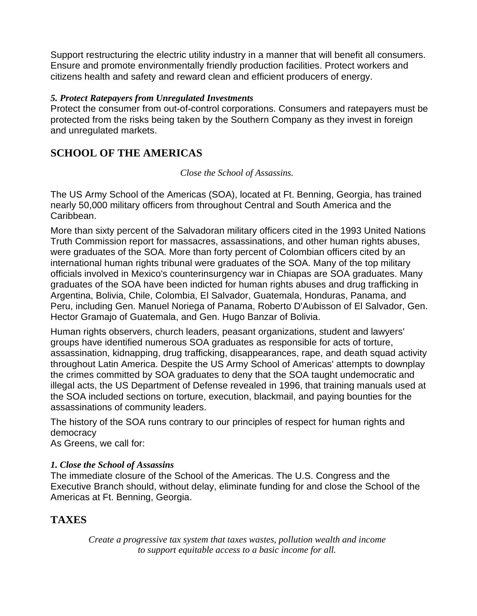Support restructuring the electric utility industry in a manner that will benefit all consumers. Ensure and promote environmentally friendly production facilities. Protect workers and citizens health and safety and reward clean and efficient producers of energy.

#### *5. Protect Ratepayers from Unregulated Investments*

Protect the consumer from out-of-control corporations. Consumers and ratepayers must be protected from the risks being taken by the Southern Company as they invest in foreign and unregulated markets.

# **SCHOOL OF THE AMERICAS**

#### *Close the School of Assassins.*

The US Army School of the Americas (SOA), located at Ft. Benning, Georgia, has trained nearly 50,000 military officers from throughout Central and South America and the Caribbean.

More than sixty percent of the Salvadoran military officers cited in the 1993 United Nations Truth Commission report for massacres, assassinations, and other human rights abuses, were graduates of the SOA. More than forty percent of Colombian officers cited by an international human rights tribunal were graduates of the SOA. Many of the top military officials involved in Mexico's counterinsurgency war in Chiapas are SOA graduates. Many graduates of the SOA have been indicted for human rights abuses and drug trafficking in Argentina, Bolivia, Chile, Colombia, El Salvador, Guatemala, Honduras, Panama, and Peru, including Gen. Manuel Noriega of Panama, Roberto D'Aubisson of El Salvador, Gen. Hector Gramajo of Guatemala, and Gen. Hugo Banzar of Bolivia.

Human rights observers, church leaders, peasant organizations, student and lawyers' groups have identified numerous SOA graduates as responsible for acts of torture, assassination, kidnapping, drug trafficking, disappearances, rape, and death squad activity throughout Latin America. Despite the US Army School of Americas' attempts to downplay the crimes committed by SOA graduates to deny that the SOA taught undemocratic and illegal acts, the US Department of Defense revealed in 1996, that training manuals used at the SOA included sections on torture, execution, blackmail, and paying bounties for the assassinations of community leaders.

The history of the SOA runs contrary to our principles of respect for human rights and democracy

As Greens, we call for:

#### *1. Close the School of Assassins*

The immediate closure of the School of the Americas. The U.S. Congress and the Executive Branch should, without delay, eliminate funding for and close the School of the Americas at Ft. Benning, Georgia.

# **TAXES**

*Create a progressive tax system that taxes wastes, pollution wealth and income to support equitable access to a basic income for all.*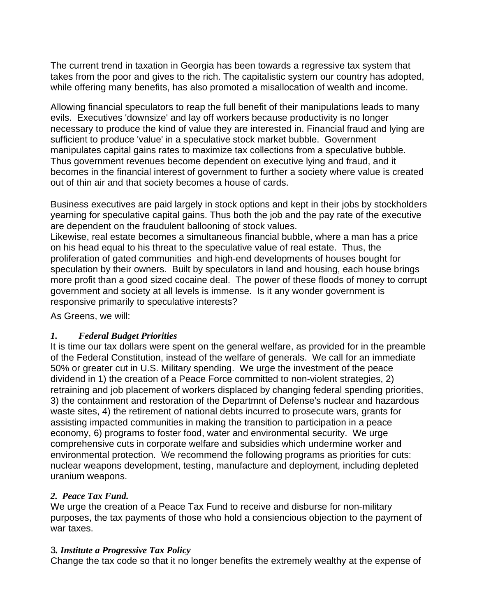The current trend in taxation in Georgia has been towards a regressive tax system that takes from the poor and gives to the rich. The capitalistic system our country has adopted, while offering many benefits, has also promoted a misallocation of wealth and income.

Allowing financial speculators to reap the full benefit of their manipulations leads to many evils. Executives 'downsize' and lay off workers because productivity is no longer necessary to produce the kind of value they are interested in. Financial fraud and lying are sufficient to produce 'value' in a speculative stock market bubble. Government manipulates capital gains rates to maximize tax collections from a speculative bubble. Thus government revenues become dependent on executive lying and fraud, and it becomes in the financial interest of government to further a society where value is created out of thin air and that society becomes a house of cards.

Business executives are paid largely in stock options and kept in their jobs by stockholders yearning for speculative capital gains. Thus both the job and the pay rate of the executive are dependent on the fraudulent ballooning of stock values.

Likewise, real estate becomes a simultaneous financial bubble, where a man has a price on his head equal to his threat to the speculative value of real estate. Thus, the proliferation of gated communities and high-end developments of houses bought for speculation by their owners. Built by speculators in land and housing, each house brings more profit than a good sized cocaine deal. The power of these floods of money to corrupt government and society at all levels is immense. Is it any wonder government is responsive primarily to speculative interests?

As Greens, we will:

#### *1. Federal Budget Priorities*

It is time our tax dollars were spent on the general welfare, as provided for in the preamble of the Federal Constitution, instead of the welfare of generals. We call for an immediate 50% or greater cut in U.S. Military spending. We urge the investment of the peace dividend in 1) the creation of a Peace Force committed to non-violent strategies, 2) retraining and job placement of workers displaced by changing federal spending priorities, 3) the containment and restoration of the Departmnt of Defense's nuclear and hazardous waste sites, 4) the retirement of national debts incurred to prosecute wars, grants for assisting impacted communities in making the transition to participation in a peace economy, 6) programs to foster food, water and environmental security. We urge comprehensive cuts in corporate welfare and subsidies which undermine worker and environmental protection. We recommend the following programs as priorities for cuts: nuclear weapons development, testing, manufacture and deployment, including depleted uranium weapons.

#### *2. Peace Tax Fund.*

We urge the creation of a Peace Tax Fund to receive and disburse for non-military purposes, the tax payments of those who hold a consiencious objection to the payment of war taxes.

#### 3*. Institute a Progressive Tax Policy*

Change the tax code so that it no longer benefits the extremely wealthy at the expense of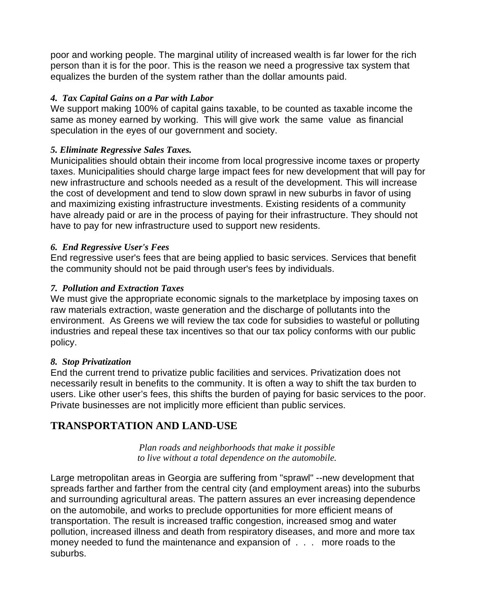poor and working people. The marginal utility of increased wealth is far lower for the rich person than it is for the poor. This is the reason we need a progressive tax system that equalizes the burden of the system rather than the dollar amounts paid.

#### *4. Tax Capital Gains on a Par with Labor*

We support making 100% of capital gains taxable, to be counted as taxable income the same as money earned by working. This will give work the same value as financial speculation in the eyes of our government and society.

#### *5. Eliminate Regressive Sales Taxes.*

Municipalities should obtain their income from local progressive income taxes or property taxes. Municipalities should charge large impact fees for new development that will pay for new infrastructure and schools needed as a result of the development. This will increase the cost of development and tend to slow down sprawl in new suburbs in favor of using and maximizing existing infrastructure investments. Existing residents of a community have already paid or are in the process of paying for their infrastructure. They should not have to pay for new infrastructure used to support new residents.

#### *6. End Regressive User's Fees*

End regressive user's fees that are being applied to basic services. Services that benefit the community should not be paid through user's fees by individuals.

#### *7. Pollution and Extraction Taxes*

We must give the appropriate economic signals to the marketplace by imposing taxes on raw materials extraction, waste generation and the discharge of pollutants into the environment. As Greens we will review the tax code for subsidies to wasteful or polluting industries and repeal these tax incentives so that our tax policy conforms with our public policy.

#### *8. Stop Privatization*

End the current trend to privatize public facilities and services. Privatization does not necessarily result in benefits to the community. It is often a way to shift the tax burden to users. Like other user's fees, this shifts the burden of paying for basic services to the poor. Private businesses are not implicitly more efficient than public services.

# **TRANSPORTATION AND LAND-USE**

*Plan roads and neighborhoods that make it possible to live without a total dependence on the automobile.* 

Large metropolitan areas in Georgia are suffering from "sprawl" --new development that spreads farther and farther from the central city (and employment areas) into the suburbs and surrounding agricultural areas. The pattern assures an ever increasing dependence on the automobile, and works to preclude opportunities for more efficient means of transportation. The result is increased traffic congestion, increased smog and water pollution, increased illness and death from respiratory diseases, and more and more tax money needed to fund the maintenance and expansion of . . . more roads to the suburbs.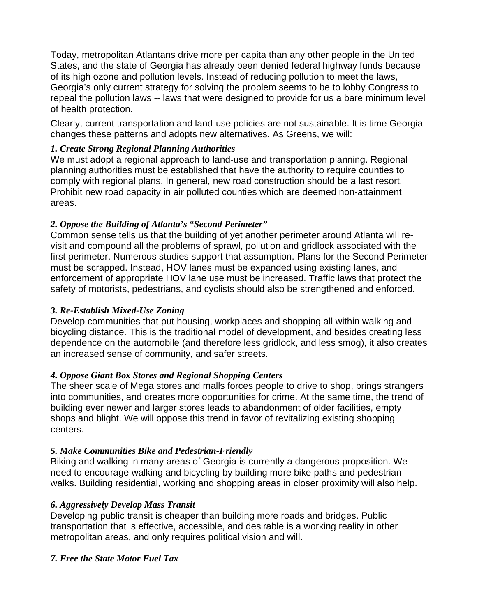Today, metropolitan Atlantans drive more per capita than any other people in the United States, and the state of Georgia has already been denied federal highway funds because of its high ozone and pollution levels. Instead of reducing pollution to meet the laws, Georgia's only current strategy for solving the problem seems to be to lobby Congress to repeal the pollution laws -- laws that were designed to provide for us a bare minimum level of health protection.

Clearly, current transportation and land-use policies are not sustainable. It is time Georgia changes these patterns and adopts new alternatives. As Greens, we will:

#### *1. Create Strong Regional Planning Authorities*

We must adopt a regional approach to land-use and transportation planning. Regional planning authorities must be established that have the authority to require counties to comply with regional plans. In general, new road construction should be a last resort. Prohibit new road capacity in air polluted counties which are deemed non-attainment areas.

#### *2. Oppose the Building of Atlanta's "Second Perimeter"*

Common sense tells us that the building of yet another perimeter around Atlanta will revisit and compound all the problems of sprawl, pollution and gridlock associated with the first perimeter. Numerous studies support that assumption. Plans for the Second Perimeter must be scrapped. Instead, HOV lanes must be expanded using existing lanes, and enforcement of appropriate HOV lane use must be increased. Traffic laws that protect the safety of motorists, pedestrians, and cyclists should also be strengthened and enforced.

#### *3. Re-Establish Mixed-Use Zoning*

Develop communities that put housing, workplaces and shopping all within walking and bicycling distance. This is the traditional model of development, and besides creating less dependence on the automobile (and therefore less gridlock, and less smog), it also creates an increased sense of community, and safer streets.

#### *4. Oppose Giant Box Stores and Regional Shopping Centers*

The sheer scale of Mega stores and malls forces people to drive to shop, brings strangers into communities, and creates more opportunities for crime. At the same time, the trend of building ever newer and larger stores leads to abandonment of older facilities, empty shops and blight. We will oppose this trend in favor of revitalizing existing shopping centers.

#### *5. Make Communities Bike and Pedestrian-Friendly*

Biking and walking in many areas of Georgia is currently a dangerous proposition. We need to encourage walking and bicycling by building more bike paths and pedestrian walks. Building residential, working and shopping areas in closer proximity will also help.

#### *6. Aggressively Develop Mass Transit*

Developing public transit is cheaper than building more roads and bridges. Public transportation that is effective, accessible, and desirable is a working reality in other metropolitan areas, and only requires political vision and will.

#### *7. Free the State Motor Fuel Tax*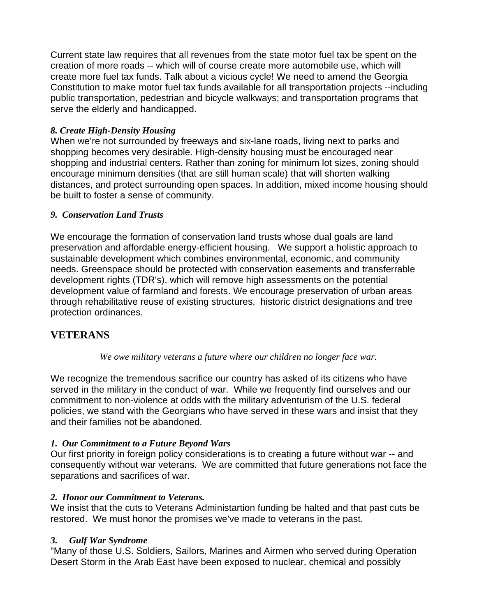Current state law requires that all revenues from the state motor fuel tax be spent on the creation of more roads -- which will of course create more automobile use, which will create more fuel tax funds. Talk about a vicious cycle! We need to amend the Georgia Constitution to make motor fuel tax funds available for all transportation projects --including public transportation, pedestrian and bicycle walkways; and transportation programs that serve the elderly and handicapped.

#### *8. Create High-Density Housing*

When we're not surrounded by freeways and six-lane roads, living next to parks and shopping becomes very desirable. High-density housing must be encouraged near shopping and industrial centers. Rather than zoning for minimum lot sizes, zoning should encourage minimum densities (that are still human scale) that will shorten walking distances, and protect surrounding open spaces. In addition, mixed income housing should be built to foster a sense of community.

#### *9. Conservation Land Trusts*

We encourage the formation of conservation land trusts whose dual goals are land preservation and affordable energy-efficient housing. We support a holistic approach to sustainable development which combines environmental, economic, and community needs. Greenspace should be protected with conservation easements and transferrable development rights (TDR's), which will remove high assessments on the potential development value of farmland and forests. We encourage preservation of urban areas through rehabilitative reuse of existing structures, historic district designations and tree protection ordinances.

# **VETERANS**

#### *We owe military veterans a future where our children no longer face war.*

We recognize the tremendous sacrifice our country has asked of its citizens who have served in the military in the conduct of war. While we frequently find ourselves and our commitment to non-violence at odds with the military adventurism of the U.S. federal policies, we stand with the Georgians who have served in these wars and insist that they and their families not be abandoned.

#### *1. Our Commitment to a Future Beyond Wars*

Our first priority in foreign policy considerations is to creating a future without war -- and consequently without war veterans. We are committed that future generations not face the separations and sacrifices of war.

#### *2. Honor our Commitment to Veterans.*

We insist that the cuts to Veterans Administartion funding be halted and that past cuts be restored. We must honor the promises we've made to veterans in the past.

#### *3. Gulf War Syndrome*

"Many of those U.S. Soldiers, Sailors, Marines and Airmen who served during Operation Desert Storm in the Arab East have been exposed to nuclear, chemical and possibly